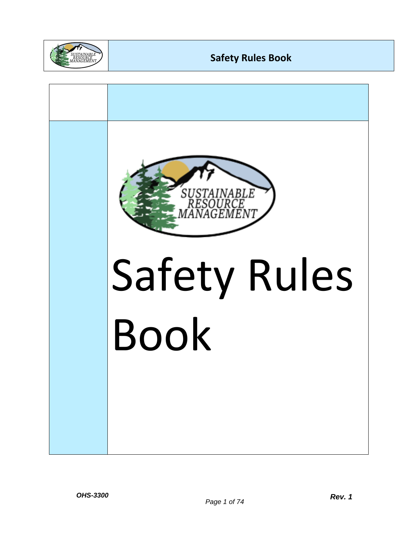

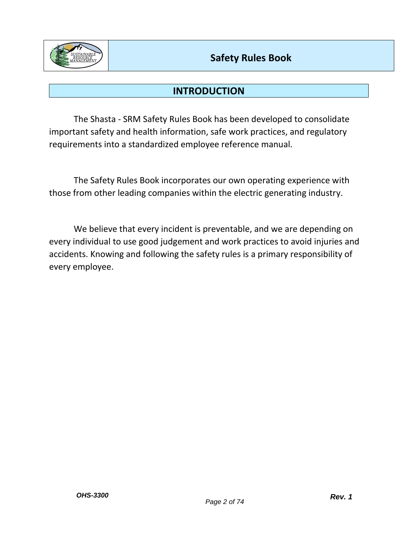

# **INTRODUCTION**

The Shasta - SRM Safety Rules Book has been developed to consolidate important safety and health information, safe work practices, and regulatory requirements into a standardized employee reference manual.

The Safety Rules Book incorporates our own operating experience with those from other leading companies within the electric generating industry.

We believe that every incident is preventable, and we are depending on every individual to use good judgement and work practices to avoid injuries and accidents. Knowing and following the safety rules is a primary responsibility of every employee.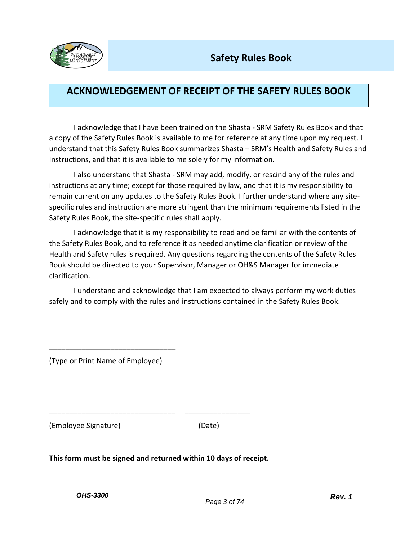

# **ACKNOWLEDGEMENT OF RECEIPT OF THE SAFETY RULES BOOK**

I acknowledge that I have been trained on the Shasta - SRM Safety Rules Book and that a copy of the Safety Rules Book is available to me for reference at any time upon my request. I understand that this Safety Rules Book summarizes Shasta – SRM's Health and Safety Rules and Instructions, and that it is available to me solely for my information.

I also understand that Shasta - SRM may add, modify, or rescind any of the rules and instructions at any time; except for those required by law, and that it is my responsibility to remain current on any updates to the Safety Rules Book. I further understand where any sitespecific rules and instruction are more stringent than the minimum requirements listed in the Safety Rules Book, the site-specific rules shall apply.

I acknowledge that it is my responsibility to read and be familiar with the contents of the Safety Rules Book, and to reference it as needed anytime clarification or review of the Health and Safety rules is required. Any questions regarding the contents of the Safety Rules Book should be directed to your Supervisor, Manager or OH&S Manager for immediate clarification.

I understand and acknowledge that I am expected to always perform my work duties safely and to comply with the rules and instructions contained in the Safety Rules Book.

(Type or Print Name of Employee)

\_\_\_\_\_\_\_\_\_\_\_\_\_\_\_\_\_\_\_\_\_\_\_\_\_\_\_\_\_\_\_

(Employee Signature) (Date)

**This form must be signed and returned within 10 days of receipt.**

\_\_\_\_\_\_\_\_\_\_\_\_\_\_\_\_\_\_\_\_\_\_\_\_\_\_\_\_\_\_\_ \_\_\_\_\_\_\_\_\_\_\_\_\_\_\_\_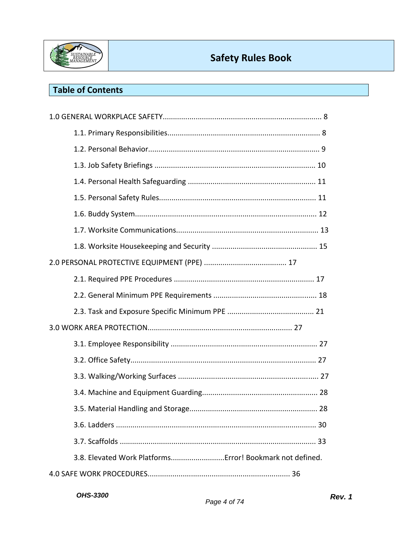

# **Table of Contents**

| 3.8. Elevated Work Platforms Error! Bookmark not defined. |  |
|-----------------------------------------------------------|--|
|                                                           |  |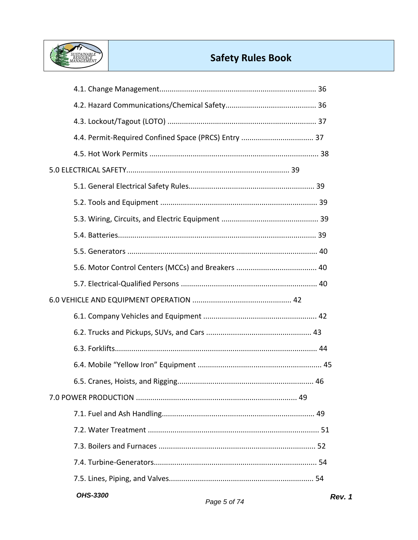

| <b>OHS-3300</b> |  |
|-----------------|--|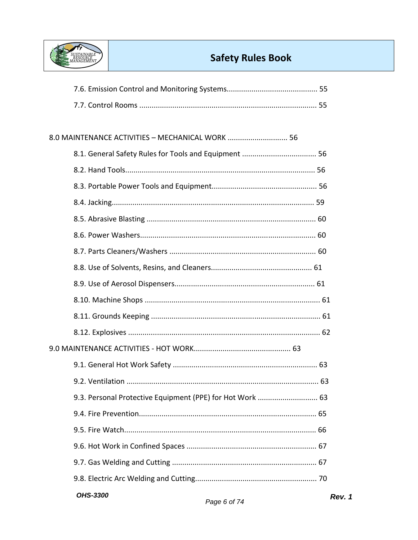

| 8.0 MAINTENANCE ACTIVITIES - MECHANICAL WORK  56 |
|--------------------------------------------------|
|                                                  |
|                                                  |
|                                                  |
|                                                  |
|                                                  |
|                                                  |
|                                                  |
|                                                  |
|                                                  |
|                                                  |
|                                                  |
|                                                  |
|                                                  |
|                                                  |
|                                                  |
|                                                  |
|                                                  |
|                                                  |
|                                                  |
|                                                  |
|                                                  |
| <b>OHS-3300</b>                                  |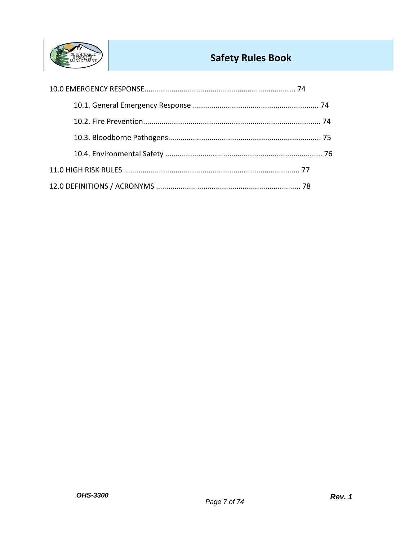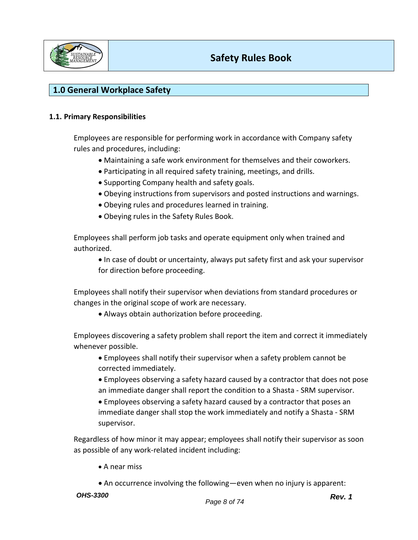

# **1.0 General Workplace Safety**

### **1.1. Primary Responsibilities**

Employees are responsible for performing work in accordance with Company safety rules and procedures, including:

- Maintaining a safe work environment for themselves and their coworkers.
- Participating in all required safety training, meetings, and drills.
- Supporting Company health and safety goals.
- Obeying instructions from supervisors and posted instructions and warnings.
- Obeying rules and procedures learned in training.
- Obeying rules in the Safety Rules Book.

Employees shall perform job tasks and operate equipment only when trained and authorized.

• In case of doubt or uncertainty, always put safety first and ask your supervisor for direction before proceeding.

Employees shall notify their supervisor when deviations from standard procedures or changes in the original scope of work are necessary.

• Always obtain authorization before proceeding.

Employees discovering a safety problem shall report the item and correct it immediately whenever possible.

- Employees shall notify their supervisor when a safety problem cannot be corrected immediately.
- Employees observing a safety hazard caused by a contractor that does not pose an immediate danger shall report the condition to a Shasta - SRM supervisor.
- Employees observing a safety hazard caused by a contractor that poses an immediate danger shall stop the work immediately and notify a Shasta - SRM supervisor.

Regardless of how minor it may appear; employees shall notify their supervisor as soon as possible of any work-related incident including:

- A near miss
- An occurrence involving the following—even when no injury is apparent:
- *OHS-3300*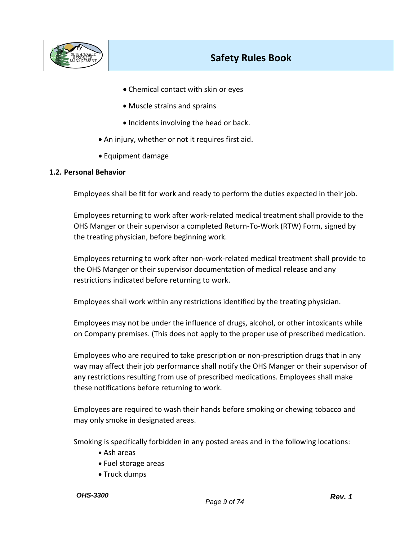

- Chemical contact with skin or eyes
- Muscle strains and sprains
- Incidents involving the head or back.
- An injury, whether or not it requires first aid.
- Equipment damage

#### **1.2. Personal Behavior**

Employees shall be fit for work and ready to perform the duties expected in their job.

Employees returning to work after work-related medical treatment shall provide to the OHS Manger or their supervisor a completed Return-To-Work (RTW) Form, signed by the treating physician, before beginning work.

Employees returning to work after non-work-related medical treatment shall provide to the OHS Manger or their supervisor documentation of medical release and any restrictions indicated before returning to work.

Employees shall work within any restrictions identified by the treating physician.

Employees may not be under the influence of drugs, alcohol, or other intoxicants while on Company premises. (This does not apply to the proper use of prescribed medication.

Employees who are required to take prescription or non-prescription drugs that in any way may affect their job performance shall notify the OHS Manger or their supervisor of any restrictions resulting from use of prescribed medications. Employees shall make these notifications before returning to work.

Employees are required to wash their hands before smoking or chewing tobacco and may only smoke in designated areas.

Smoking is specifically forbidden in any posted areas and in the following locations:

- Ash areas
- Fuel storage areas
- Truck dumps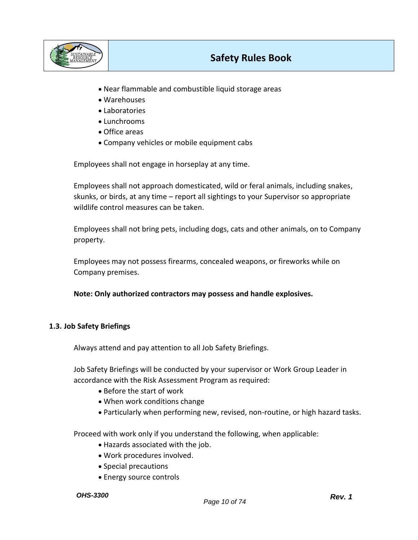

- Near flammable and combustible liquid storage areas
- Warehouses
- Laboratories
- Lunchrooms
- Office areas
- Company vehicles or mobile equipment cabs

Employees shall not engage in horseplay at any time.

Employees shall not approach domesticated, wild or feral animals, including snakes, skunks, or birds, at any time – report all sightings to your Supervisor so appropriate wildlife control measures can be taken.

Employees shall not bring pets, including dogs, cats and other animals, on to Company property.

Employees may not possess firearms, concealed weapons, or fireworks while on Company premises.

**Note: Only authorized contractors may possess and handle explosives.**

### **1.3. Job Safety Briefings**

Always attend and pay attention to all Job Safety Briefings.

Job Safety Briefings will be conducted by your supervisor or Work Group Leader in accordance with the Risk Assessment Program as required:

- Before the start of work
- When work conditions change
- Particularly when performing new, revised, non-routine, or high hazard tasks.

Proceed with work only if you understand the following, when applicable:

- Hazards associated with the job.
- Work procedures involved.
- Special precautions
- Energy source controls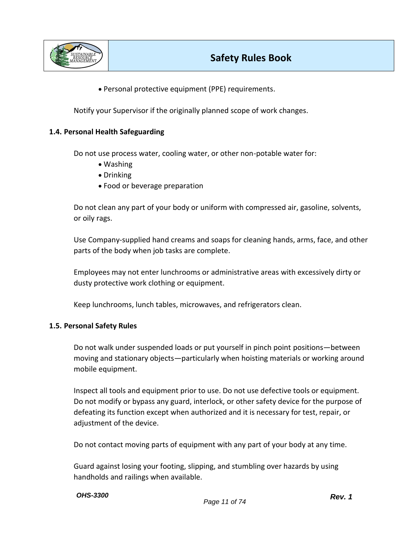

• Personal protective equipment (PPE) requirements.

Notify your Supervisor if the originally planned scope of work changes.

### **1.4. Personal Health Safeguarding**

Do not use process water, cooling water, or other non-potable water for:

- Washing
- Drinking
- Food or beverage preparation

Do not clean any part of your body or uniform with compressed air, gasoline, solvents, or oily rags.

Use Company-supplied hand creams and soaps for cleaning hands, arms, face, and other parts of the body when job tasks are complete.

Employees may not enter lunchrooms or administrative areas with excessively dirty or dusty protective work clothing or equipment.

Keep lunchrooms, lunch tables, microwaves, and refrigerators clean.

#### **1.5. Personal Safety Rules**

Do not walk under suspended loads or put yourself in pinch point positions—between moving and stationary objects—particularly when hoisting materials or working around mobile equipment.

Inspect all tools and equipment prior to use. Do not use defective tools or equipment. Do not modify or bypass any guard, interlock, or other safety device for the purpose of defeating its function except when authorized and it is necessary for test, repair, or adjustment of the device.

Do not contact moving parts of equipment with any part of your body at any time.

Guard against losing your footing, slipping, and stumbling over hazards by using handholds and railings when available.

#### *OHS-3300*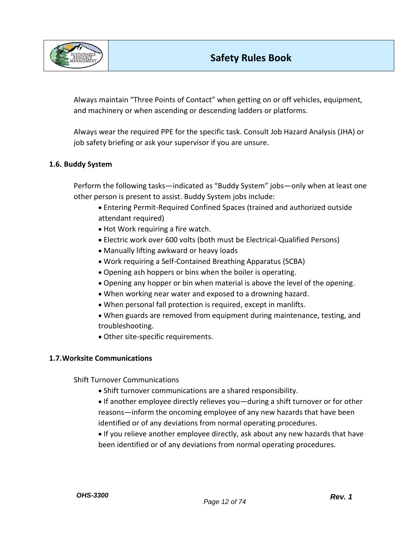

Always maintain "Three Points of Contact" when getting on or off vehicles, equipment, and machinery or when ascending or descending ladders or platforms.

Always wear the required PPE for the specific task. Consult Job Hazard Analysis (JHA) or job safety briefing or ask your supervisor if you are unsure.

## **1.6. Buddy System**

Perform the following tasks—indicated as "Buddy System" jobs—only when at least one other person is present to assist. Buddy System jobs include:

- Entering Permit-Required Confined Spaces (trained and authorized outside attendant required)
- Hot Work requiring a fire watch.
- Electric work over 600 volts (both must be Electrical-Qualified Persons)
- Manually lifting awkward or heavy loads
- Work requiring a Self-Contained Breathing Apparatus (SCBA)
- Opening ash hoppers or bins when the boiler is operating.
- Opening any hopper or bin when material is above the level of the opening.
- When working near water and exposed to a drowning hazard.
- When personal fall protection is required, except in manlifts.
- When guards are removed from equipment during maintenance, testing, and troubleshooting.
- Other site-specific requirements.

## **1.7.Worksite Communications**

Shift Turnover Communications

- Shift turnover communications are a shared responsibility.
- If another employee directly relieves you—during a shift turnover or for other reasons—inform the oncoming employee of any new hazards that have been identified or of any deviations from normal operating procedures.
- If you relieve another employee directly, ask about any new hazards that have been identified or of any deviations from normal operating procedures.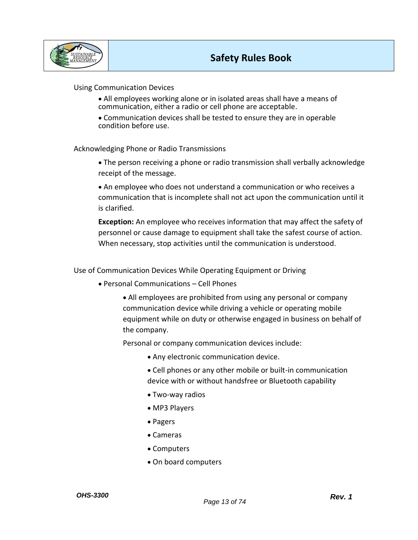

### Using Communication Devices

- All employees working alone or in isolated areas shall have a means of communication, either a radio or cell phone are acceptable.
- Communication devices shall be tested to ensure they are in operable condition before use.

### Acknowledging Phone or Radio Transmissions

• The person receiving a phone or radio transmission shall verbally acknowledge receipt of the message.

• An employee who does not understand a communication or who receives a communication that is incomplete shall not act upon the communication until it is clarified.

**Exception:** An employee who receives information that may affect the safety of personnel or cause damage to equipment shall take the safest course of action. When necessary, stop activities until the communication is understood.

Use of Communication Devices While Operating Equipment or Driving

• Personal Communications – Cell Phones

• All employees are prohibited from using any personal or company communication device while driving a vehicle or operating mobile equipment while on duty or otherwise engaged in business on behalf of the company.

Personal or company communication devices include:

- Any electronic communication device.
- Cell phones or any other mobile or built-in communication device with or without handsfree or Bluetooth capability
- Two-way radios
- MP3 Players
- Pagers
- Cameras
- Computers
- On board computers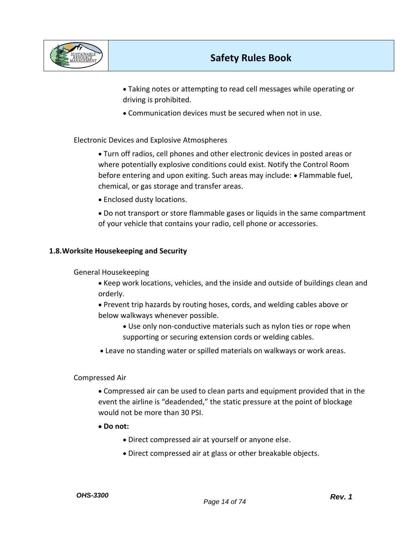

• Taking notes or attempting to read cell messages while operating or driving is prohibited.

• Communication devices must be secured when not in use.

## Electronic Devices and Explosive Atmospheres

- Turn off radios, cell phones and other electronic devices in posted areas or where potentially explosive conditions could exist. Notify the Control Room before entering and upon exiting. Such areas may include: • Flammable fuel, chemical, or gas storage and transfer areas.
- Enclosed dusty locations.
- Do not transport or store flammable gases or liquids in the same compartment of your vehicle that contains your radio, cell phone or accessories.

## **1.8.Worksite Housekeeping and Security**

### General Housekeeping

- Keep work locations, vehicles, and the inside and outside of buildings clean and orderly.
- Prevent trip hazards by routing hoses, cords, and welding cables above or below walkways whenever possible.
	- Use only non-conductive materials such as nylon ties or rope when supporting or securing extension cords or welding cables.
- Leave no standing water or spilled materials on walkways or work areas.

### Compressed Air

- Compressed air can be used to clean parts and equipment provided that in the event the airline is "deadended," the static pressure at the point of blockage would not be more than 30 PSI.
- **Do not:** 
	- Direct compressed air at yourself or anyone else.
	- Direct compressed air at glass or other breakable objects.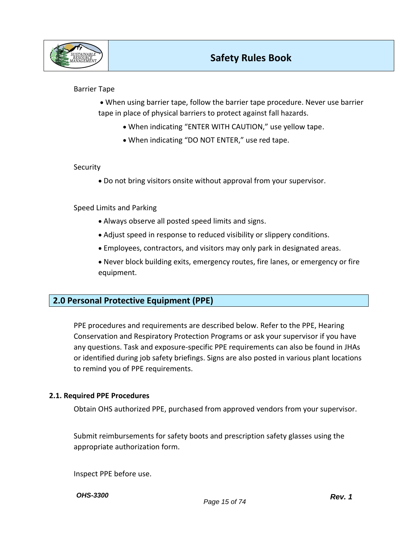

### Barrier Tape

• When using barrier tape, follow the barrier tape procedure. Never use barrier tape in place of physical barriers to protect against fall hazards.

- When indicating "ENTER WITH CAUTION," use yellow tape.
- When indicating "DO NOT ENTER," use red tape.

#### **Security**

• Do not bring visitors onsite without approval from your supervisor.

Speed Limits and Parking

- Always observe all posted speed limits and signs.
- Adjust speed in response to reduced visibility or slippery conditions.
- Employees, contractors, and visitors may only park in designated areas.
- Never block building exits, emergency routes, fire lanes, or emergency or fire equipment.

# **2.0 Personal Protective Equipment (PPE)**

PPE procedures and requirements are described below. Refer to the PPE, Hearing Conservation and Respiratory Protection Programs or ask your supervisor if you have any questions. Task and exposure-specific PPE requirements can also be found in JHAs or identified during job safety briefings. Signs are also posted in various plant locations to remind you of PPE requirements.

### **2.1. Required PPE Procedures**

Obtain OHS authorized PPE, purchased from approved vendors from your supervisor.

Submit reimbursements for safety boots and prescription safety glasses using the appropriate authorization form.

Inspect PPE before use.

*OHS-3300*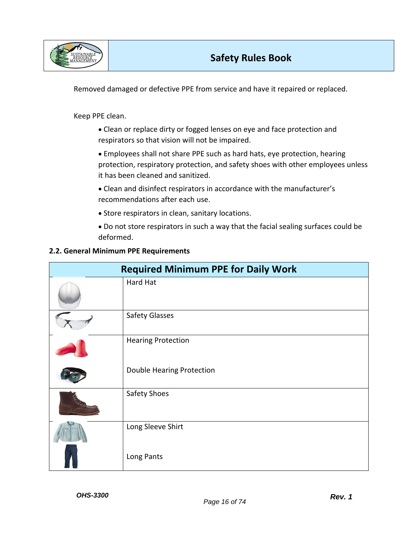

Removed damaged or defective PPE from service and have it repaired or replaced.

Keep PPE clean.

- Clean or replace dirty or fogged lenses on eye and face protection and respirators so that vision will not be impaired.
- Employees shall not share PPE such as hard hats, eye protection, hearing protection, respiratory protection, and safety shoes with other employees unless it has been cleaned and sanitized.
- Clean and disinfect respirators in accordance with the manufacturer's recommendations after each use.
- Store respirators in clean, sanitary locations.
- Do not store respirators in such a way that the facial sealing surfaces could be deformed.

## **2.2. General Minimum PPE Requirements**

| <b>Required Minimum PPE for Daily Work</b> |                           |  |
|--------------------------------------------|---------------------------|--|
|                                            | Hard Hat                  |  |
|                                            | <b>Safety Glasses</b>     |  |
|                                            | <b>Hearing Protection</b> |  |
|                                            | Double Hearing Protection |  |
|                                            | Safety Shoes              |  |
|                                            | Long Sleeve Shirt         |  |
|                                            | Long Pants                |  |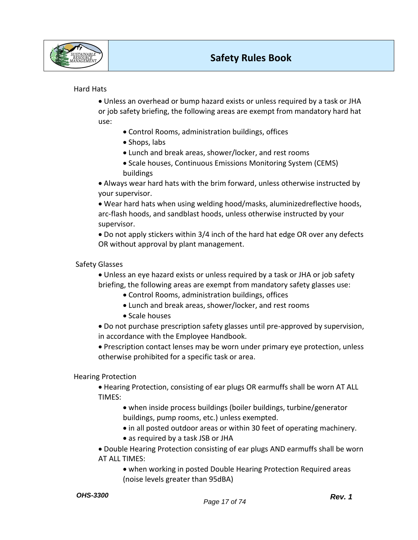

## Hard Hats

• Unless an overhead or bump hazard exists or unless required by a task or JHA or job safety briefing, the following areas are exempt from mandatory hard hat use:

- Control Rooms, administration buildings, offices
- Shops, labs
- Lunch and break areas, shower/locker, and rest rooms
- Scale houses, Continuous Emissions Monitoring System (CEMS) buildings

• Always wear hard hats with the brim forward, unless otherwise instructed by your supervisor.

• Wear hard hats when using welding hood/masks, aluminizedreflective hoods, arc-flash hoods, and sandblast hoods, unless otherwise instructed by your supervisor.

• Do not apply stickers within 3/4 inch of the hard hat edge OR over any defects OR without approval by plant management.

### Safety Glasses

• Unless an eye hazard exists or unless required by a task or JHA or job safety briefing, the following areas are exempt from mandatory safety glasses use:

- Control Rooms, administration buildings, offices
- Lunch and break areas, shower/locker, and rest rooms
- Scale houses

• Do not purchase prescription safety glasses until pre-approved by supervision, in accordance with the Employee Handbook.

• Prescription contact lenses may be worn under primary eye protection, unless otherwise prohibited for a specific task or area.

### Hearing Protection

• Hearing Protection, consisting of ear plugs OR earmuffs shall be worn AT ALL TIMES:

- when inside process buildings (boiler buildings, turbine/generator buildings, pump rooms, etc.) unless exempted.
- in all posted outdoor areas or within 30 feet of operating machinery.
- as required by a task JSB or JHA

• Double Hearing Protection consisting of ear plugs AND earmuffs shall be worn AT ALL TIMES:

• when working in posted Double Hearing Protection Required areas (noise levels greater than 95dBA)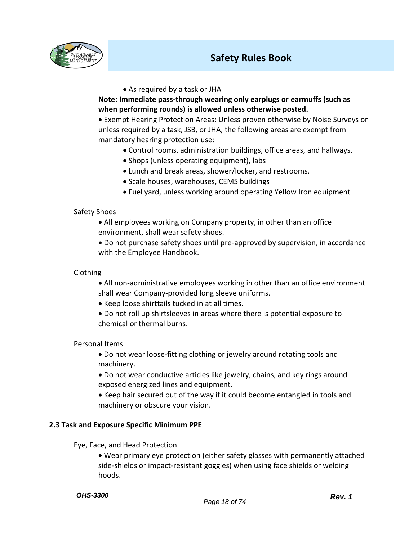

## • As required by a task or JHA

**Note: Immediate pass-through wearing only earplugs or earmuffs (such as when performing rounds) is allowed unless otherwise posted.** 

• Exempt Hearing Protection Areas: Unless proven otherwise by Noise Surveys or unless required by a task, JSB, or JHA, the following areas are exempt from mandatory hearing protection use:

- Control rooms, administration buildings, office areas, and hallways.
- Shops (unless operating equipment), labs
- Lunch and break areas, shower/locker, and restrooms.
- Scale houses, warehouses, CEMS buildings
- Fuel yard, unless working around operating Yellow Iron equipment

## Safety Shoes

- All employees working on Company property, in other than an office environment, shall wear safety shoes.
- Do not purchase safety shoes until pre-approved by supervision, in accordance with the Employee Handbook.

## Clothing

- All non-administrative employees working in other than an office environment shall wear Company-provided long sleeve uniforms.
- Keep loose shirttails tucked in at all times.
- Do not roll up shirtsleeves in areas where there is potential exposure to chemical or thermal burns.

## Personal Items

- Do not wear loose-fitting clothing or jewelry around rotating tools and machinery.
- Do not wear conductive articles like jewelry, chains, and key rings around exposed energized lines and equipment.
- Keep hair secured out of the way if it could become entangled in tools and machinery or obscure your vision.

## **2.3 Task and Exposure Specific Minimum PPE**

Eye, Face, and Head Protection

• Wear primary eye protection (either safety glasses with permanently attached side-shields or impact-resistant goggles) when using face shields or welding hoods.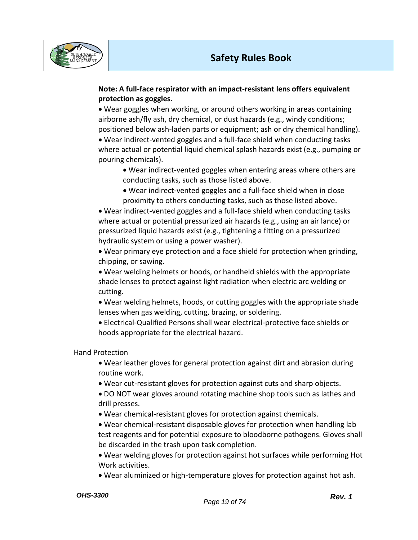

## **Note: A full-face respirator with an impact-resistant lens offers equivalent protection as goggles.**

• Wear goggles when working, or around others working in areas containing airborne ash/fly ash, dry chemical, or dust hazards (e.g., windy conditions; positioned below ash-laden parts or equipment; ash or dry chemical handling).

• Wear indirect-vented goggles and a full-face shield when conducting tasks where actual or potential liquid chemical splash hazards exist (e.g., pumping or pouring chemicals).

- Wear indirect-vented goggles when entering areas where others are conducting tasks, such as those listed above.
- Wear indirect-vented goggles and a full-face shield when in close proximity to others conducting tasks, such as those listed above.

• Wear indirect-vented goggles and a full-face shield when conducting tasks where actual or potential pressurized air hazards (e.g., using an air lance) or pressurized liquid hazards exist (e.g., tightening a fitting on a pressurized hydraulic system or using a power washer).

• Wear primary eye protection and a face shield for protection when grinding, chipping, or sawing.

• Wear welding helmets or hoods, or handheld shields with the appropriate shade lenses to protect against light radiation when electric arc welding or cutting.

• Wear welding helmets, hoods, or cutting goggles with the appropriate shade lenses when gas welding, cutting, brazing, or soldering.

• Electrical-Qualified Persons shall wear electrical-protective face shields or hoods appropriate for the electrical hazard.

Hand Protection

• Wear leather gloves for general protection against dirt and abrasion during routine work.

• Wear cut-resistant gloves for protection against cuts and sharp objects.

• DO NOT wear gloves around rotating machine shop tools such as lathes and drill presses.

• Wear chemical-resistant gloves for protection against chemicals.

• Wear chemical-resistant disposable gloves for protection when handling lab test reagents and for potential exposure to bloodborne pathogens. Gloves shall be discarded in the trash upon task completion.

• Wear welding gloves for protection against hot surfaces while performing Hot Work activities.

• Wear aluminized or high-temperature gloves for protection against hot ash.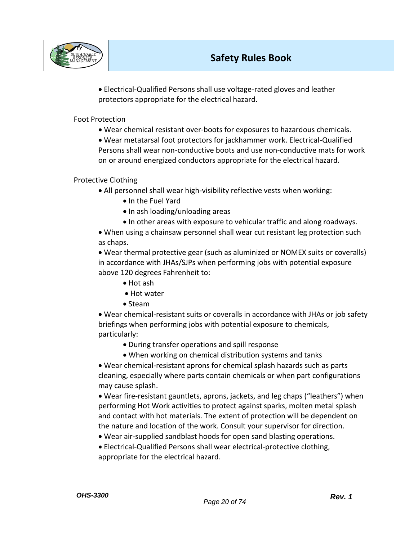

• Electrical-Qualified Persons shall use voltage-rated gloves and leather protectors appropriate for the electrical hazard.

## Foot Protection

• Wear chemical resistant over-boots for exposures to hazardous chemicals.

• Wear metatarsal foot protectors for jackhammer work. Electrical-Qualified Persons shall wear non-conductive boots and use non-conductive mats for work on or around energized conductors appropriate for the electrical hazard.

Protective Clothing

- All personnel shall wear high-visibility reflective vests when working:
	- In the Fuel Yard
	- In ash loading/unloading areas
	- In other areas with exposure to vehicular traffic and along roadways.

• When using a chainsaw personnel shall wear cut resistant leg protection such as chaps.

• Wear thermal protective gear (such as aluminized or NOMEX suits or coveralls) in accordance with JHAs/SJPs when performing jobs with potential exposure above 120 degrees Fahrenheit to:

- Hot ash
- Hot water
- Steam

• Wear chemical-resistant suits or coveralls in accordance with JHAs or job safety briefings when performing jobs with potential exposure to chemicals, particularly:

- During transfer operations and spill response
- When working on chemical distribution systems and tanks

• Wear chemical-resistant aprons for chemical splash hazards such as parts cleaning, especially where parts contain chemicals or when part configurations may cause splash.

• Wear fire-resistant gauntlets, aprons, jackets, and leg chaps ("leathers") when performing Hot Work activities to protect against sparks, molten metal splash and contact with hot materials. The extent of protection will be dependent on the nature and location of the work. Consult your supervisor for direction.

- Wear air-supplied sandblast hoods for open sand blasting operations.
- Electrical-Qualified Persons shall wear electrical-protective clothing, appropriate for the electrical hazard.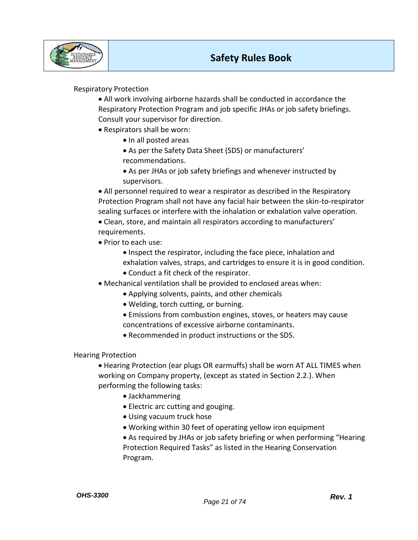

# Respiratory Protection

- All work involving airborne hazards shall be conducted in accordance the Respiratory Protection Program and job specific JHAs or job safety briefings. Consult your supervisor for direction.
- Respirators shall be worn:
	- In all posted areas
	- As per the Safety Data Sheet (SDS) or manufacturers' recommendations.
	- As per JHAs or job safety briefings and whenever instructed by supervisors.

• All personnel required to wear a respirator as described in the Respiratory Protection Program shall not have any facial hair between the skin-to-respirator sealing surfaces or interfere with the inhalation or exhalation valve operation.

• Clean, store, and maintain all respirators according to manufacturers' requirements.

- Prior to each use:
	- Inspect the respirator, including the face piece, inhalation and exhalation valves, straps, and cartridges to ensure it is in good condition.
	- Conduct a fit check of the respirator.
- Mechanical ventilation shall be provided to enclosed areas when:
	- Applying solvents, paints, and other chemicals
	- Welding, torch cutting, or burning.
	- Emissions from combustion engines, stoves, or heaters may cause concentrations of excessive airborne contaminants.
	- Recommended in product instructions or the SDS.

### Hearing Protection

• Hearing Protection (ear plugs OR earmuffs) shall be worn AT ALL TIMES when working on Company property, (except as stated in Section 2.2.). When performing the following tasks:

- Jackhammering
- Electric arc cutting and gouging.
- Using vacuum truck hose
- Working within 30 feet of operating yellow iron equipment

• As required by JHAs or job safety briefing or when performing "Hearing Protection Required Tasks" as listed in the Hearing Conservation Program.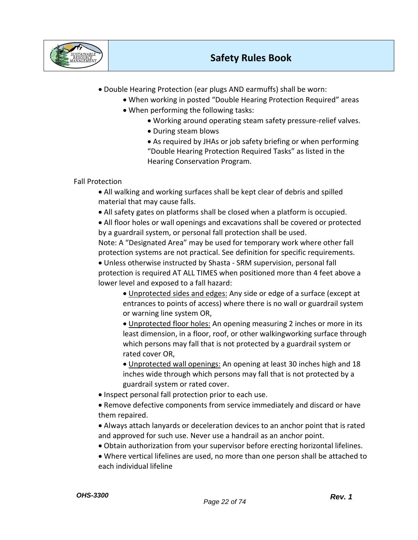

- Double Hearing Protection (ear plugs AND earmuffs) shall be worn:
	- When working in posted "Double Hearing Protection Required" areas
	- When performing the following tasks:
		- Working around operating steam safety pressure-relief valves.
			- During steam blows
		- As required by JHAs or job safety briefing or when performing "Double Hearing Protection Required Tasks" as listed in the Hearing Conservation Program.

# Fall Protection

• All walking and working surfaces shall be kept clear of debris and spilled material that may cause falls.

• All safety gates on platforms shall be closed when a platform is occupied.

• All floor holes or wall openings and excavations shall be covered or protected by a guardrail system, or personal fall protection shall be used.

Note: A "Designated Area" may be used for temporary work where other fall protection systems are not practical. See definition for specific requirements.

• Unless otherwise instructed by Shasta - SRM supervision, personal fall protection is required AT ALL TIMES when positioned more than 4 feet above a lower level and exposed to a fall hazard:

• Unprotected sides and edges: Any side or edge of a surface (except at entrances to points of access) where there is no wall or guardrail system or warning line system OR,

• Unprotected floor holes: An opening measuring 2 inches or more in its least dimension, in a floor, roof, or other walkingworking surface through which persons may fall that is not protected by a guardrail system or rated cover OR,

• Unprotected wall openings: An opening at least 30 inches high and 18 inches wide through which persons may fall that is not protected by a guardrail system or rated cover.

• Inspect personal fall protection prior to each use.

• Remove defective components from service immediately and discard or have them repaired.

• Always attach lanyards or deceleration devices to an anchor point that is rated and approved for such use. Never use a handrail as an anchor point.

- Obtain authorization from your supervisor before erecting horizontal lifelines.
- Where vertical lifelines are used, no more than one person shall be attached to each individual lifeline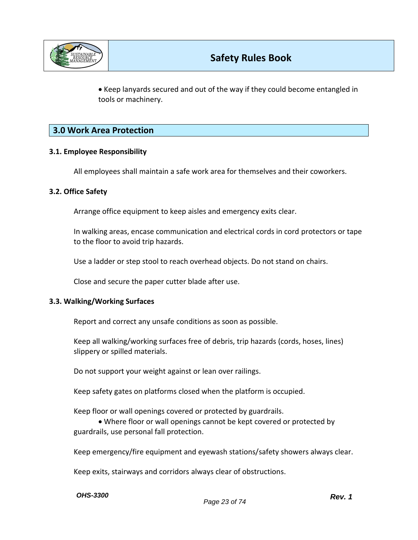

• Keep lanyards secured and out of the way if they could become entangled in tools or machinery.

# **3.0 Work Area Protection**

## **3.1. Employee Responsibility**

All employees shall maintain a safe work area for themselves and their coworkers.

### **3.2. Office Safety**

Arrange office equipment to keep aisles and emergency exits clear.

In walking areas, encase communication and electrical cords in cord protectors or tape to the floor to avoid trip hazards.

Use a ladder or step stool to reach overhead objects. Do not stand on chairs.

Close and secure the paper cutter blade after use.

### **3.3. Walking/Working Surfaces**

Report and correct any unsafe conditions as soon as possible.

Keep all walking/working surfaces free of debris, trip hazards (cords, hoses, lines) slippery or spilled materials.

Do not support your weight against or lean over railings.

Keep safety gates on platforms closed when the platform is occupied.

Keep floor or wall openings covered or protected by guardrails.

• Where floor or wall openings cannot be kept covered or protected by guardrails, use personal fall protection.

Keep emergency/fire equipment and eyewash stations/safety showers always clear.

Keep exits, stairways and corridors always clear of obstructions.

*OHS-3300*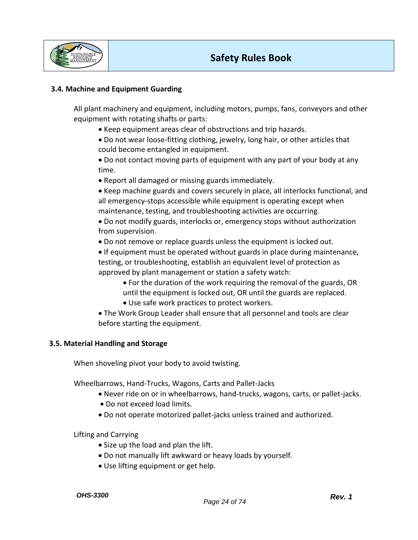

## **3.4. Machine and Equipment Guarding**

All plant machinery and equipment, including motors, pumps, fans, conveyors and other equipment with rotating shafts or parts:

- Keep equipment areas clear of obstructions and trip hazards.
- Do not wear loose-fitting clothing, jewelry, long hair, or other articles that could become entangled in equipment.

• Do not contact moving parts of equipment with any part of your body at any time.

• Report all damaged or missing guards immediately.

• Keep machine guards and covers securely in place, all interlocks functional, and all emergency-stops accessible while equipment is operating except when maintenance, testing, and troubleshooting activities are occurring.

- Do not modify guards, interlocks or, emergency stops without authorization from supervision.
- Do not remove or replace guards unless the equipment is locked out.

• If equipment must be operated without guards in place during maintenance, testing, or troubleshooting, establish an equivalent level of protection as approved by plant management or station a safety watch:

- For the duration of the work requiring the removal of the guards, OR until the equipment is locked out, OR until the guards are replaced.
- Use safe work practices to protect workers.
- The Work Group Leader shall ensure that all personnel and tools are clear before starting the equipment.

## **3.5. Material Handling and Storage**

When shoveling pivot your body to avoid twisting.

Wheelbarrows, Hand-Trucks, Wagons, Carts and Pallet-Jacks

- Never ride on or in wheelbarrows, hand-trucks, wagons, carts, or pallet-jacks.
- Do not exceed load limits.
- Do not operate motorized pallet-jacks unless trained and authorized.

Lifting and Carrying

- Size up the load and plan the lift.
- Do not manually lift awkward or heavy loads by yourself.
- Use lifting equipment or get help.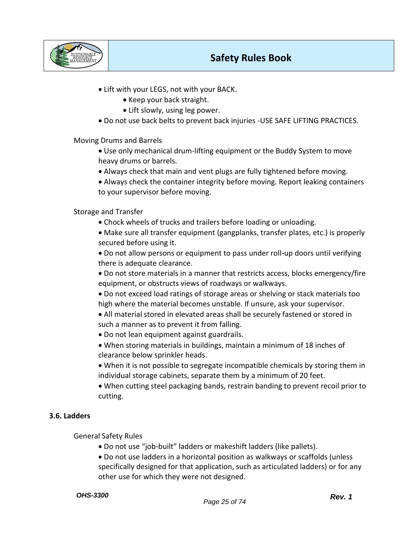

- Lift with your LEGS, not with your BACK.
	- Keep your back straight.
	- Lift slowly, using leg power.
- Do not use back belts to prevent back injuries -USE SAFE LIFTING PRACTICES.

Moving Drums and Barrels

- Use only mechanical drum-lifting equipment or the Buddy System to move heavy drums or barrels.
- Always check that main and vent plugs are fully tightened before moving.
- Always check the container integrity before moving. Report leaking containers to your supervisor before moving.

## Storage and Transfer

- Chock wheels of trucks and trailers before loading or unloading.
- Make sure all transfer equipment (gangplanks, transfer plates, etc.) is properly secured before using it.

• Do not allow persons or equipment to pass under roll-up doors until verifying there is adequate clearance.

- Do not store materials in a manner that restricts access, blocks emergency/fire equipment, or obstructs views of roadways or walkways.
- Do not exceed load ratings of storage areas or shelving or stack materials too high where the material becomes unstable. If unsure, ask your supervisor.
- All material stored in elevated areas shall be securely fastened or stored in such a manner as to prevent it from falling.
- Do not lean equipment against guardrails.
- When storing materials in buildings, maintain a minimum of 18 inches of clearance below sprinkler heads.
- When it is not possible to segregate incompatible chemicals by storing them in individual storage cabinets, separate them by a minimum of 20 feet.
- When cutting steel packaging bands, restrain banding to prevent recoil prior to cutting.

## **3.6. Ladders**

General Safety Rules

- Do not use "job-built" ladders or makeshift ladders (like pallets).
- Do not use ladders in a horizontal position as walkways or scaffolds (unless specifically designed for that application, such as articulated ladders) or for any other use for which they were not designed.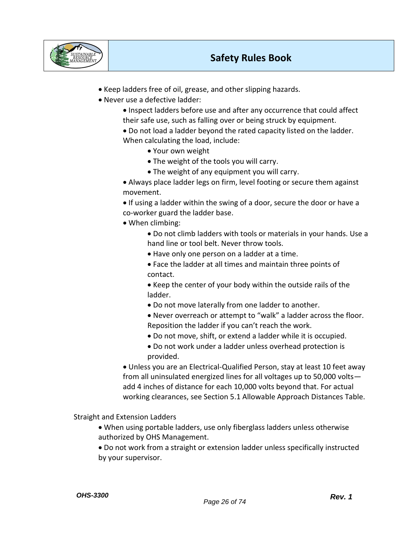

- Keep ladders free of oil, grease, and other slipping hazards.
- Never use a defective ladder:
	- Inspect ladders before use and after any occurrence that could affect their safe use, such as falling over or being struck by equipment.
	- Do not load a ladder beyond the rated capacity listed on the ladder. When calculating the load, include:
		- Your own weight
		- The weight of the tools you will carry.
		- The weight of any equipment you will carry.

• Always place ladder legs on firm, level footing or secure them against movement.

• If using a ladder within the swing of a door, secure the door or have a co-worker guard the ladder base.

- When climbing:
	- Do not climb ladders with tools or materials in your hands. Use a hand line or tool belt. Never throw tools.
	- Have only one person on a ladder at a time.
	- Face the ladder at all times and maintain three points of contact.

• Keep the center of your body within the outside rails of the ladder.

• Do not move laterally from one ladder to another.

• Never overreach or attempt to "walk" a ladder across the floor. Reposition the ladder if you can't reach the work.

- Do not move, shift, or extend a ladder while it is occupied.
- Do not work under a ladder unless overhead protection is provided.

• Unless you are an Electrical-Qualified Person, stay at least 10 feet away from all uninsulated energized lines for all voltages up to 50,000 volts add 4 inches of distance for each 10,000 volts beyond that. For actual working clearances, see Section 5.1 Allowable Approach Distances Table.

Straight and Extension Ladders

- When using portable ladders, use only fiberglass ladders unless otherwise authorized by OHS Management.
- Do not work from a straight or extension ladder unless specifically instructed by your supervisor.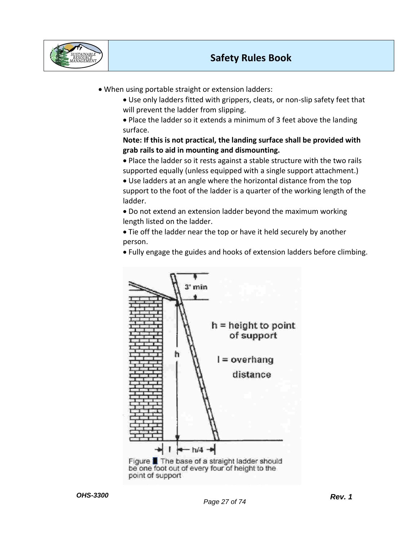

• When using portable straight or extension ladders:

• Use only ladders fitted with grippers, cleats, or non-slip safety feet that will prevent the ladder from slipping.

• Place the ladder so it extends a minimum of 3 feet above the landing surface.

# **Note: If this is not practical, the landing surface shall be provided with grab rails to aid in mounting and dismounting.**

• Place the ladder so it rests against a stable structure with the two rails supported equally (unless equipped with a single support attachment.)

• Use ladders at an angle where the horizontal distance from the top support to the foot of the ladder is a quarter of the working length of the ladder.

• Do not extend an extension ladder beyond the maximum working length listed on the ladder.

• Tie off the ladder near the top or have it held securely by another person.

• Fully engage the guides and hooks of extension ladders before climbing.



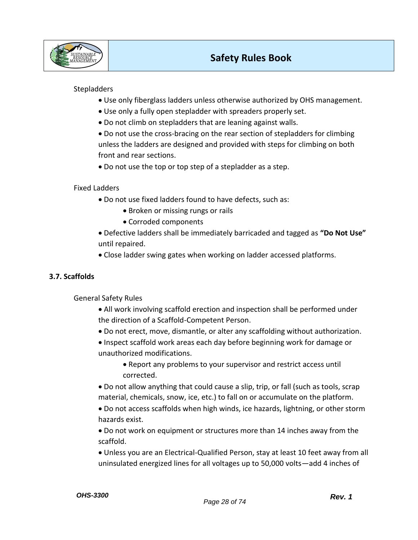

# **Stepladders**

- Use only fiberglass ladders unless otherwise authorized by OHS management.
- Use only a fully open stepladder with spreaders properly set.
- Do not climb on stepladders that are leaning against walls.

• Do not use the cross-bracing on the rear section of stepladders for climbing unless the ladders are designed and provided with steps for climbing on both front and rear sections.

• Do not use the top or top step of a stepladder as a step.

Fixed Ladders

- Do not use fixed ladders found to have defects, such as:
	- Broken or missing rungs or rails
	- Corroded components
- Defective ladders shall be immediately barricaded and tagged as **"Do Not Use"** until repaired.
- Close ladder swing gates when working on ladder accessed platforms.

## **3.7. Scaffolds**

General Safety Rules

- All work involving scaffold erection and inspection shall be performed under the direction of a Scaffold-Competent Person.
- Do not erect, move, dismantle, or alter any scaffolding without authorization.
- Inspect scaffold work areas each day before beginning work for damage or unauthorized modifications.
	- Report any problems to your supervisor and restrict access until corrected.

• Do not allow anything that could cause a slip, trip, or fall (such as tools, scrap material, chemicals, snow, ice, etc.) to fall on or accumulate on the platform.

• Do not access scaffolds when high winds, ice hazards, lightning, or other storm hazards exist.

• Do not work on equipment or structures more than 14 inches away from the scaffold.

• Unless you are an Electrical-Qualified Person, stay at least 10 feet away from all uninsulated energized lines for all voltages up to 50,000 volts—add 4 inches of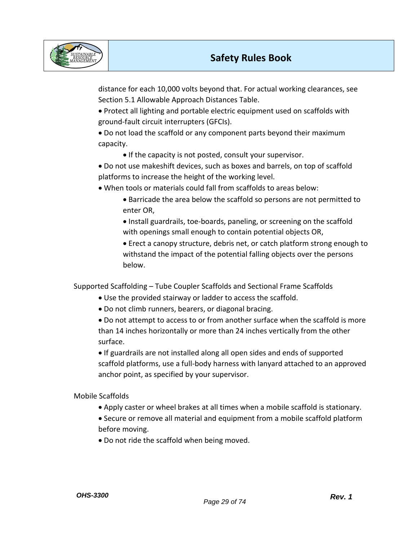

distance for each 10,000 volts beyond that. For actual working clearances, see Section 5.1 Allowable Approach Distances Table.

• Protect all lighting and portable electric equipment used on scaffolds with ground-fault circuit interrupters (GFCIs).

• Do not load the scaffold or any component parts beyond their maximum capacity.

• If the capacity is not posted, consult your supervisor.

• Do not use makeshift devices, such as boxes and barrels, on top of scaffold platforms to increase the height of the working level.

• When tools or materials could fall from scaffolds to areas below:

• Barricade the area below the scaffold so persons are not permitted to enter OR,

• Install guardrails, toe-boards, paneling, or screening on the scaffold with openings small enough to contain potential objects OR,

• Erect a canopy structure, debris net, or catch platform strong enough to withstand the impact of the potential falling objects over the persons below.

Supported Scaffolding – Tube Coupler Scaffolds and Sectional Frame Scaffolds

- Use the provided stairway or ladder to access the scaffold.
- Do not climb runners, bearers, or diagonal bracing.

• Do not attempt to access to or from another surface when the scaffold is more than 14 inches horizontally or more than 24 inches vertically from the other surface.

• If guardrails are not installed along all open sides and ends of supported scaffold platforms, use a full-body harness with lanyard attached to an approved anchor point, as specified by your supervisor.

Mobile Scaffolds

- Apply caster or wheel brakes at all times when a mobile scaffold is stationary.
- Secure or remove all material and equipment from a mobile scaffold platform before moving.
- Do not ride the scaffold when being moved.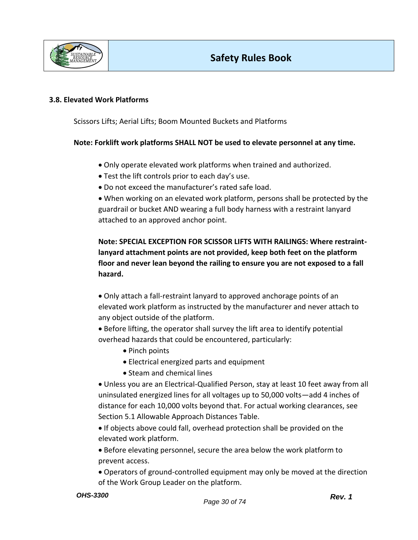

### **3.8. Elevated Work Platforms**

Scissors Lifts; Aerial Lifts; Boom Mounted Buckets and Platforms

## **Note: Forklift work platforms SHALL NOT be used to elevate personnel at any time.**

- Only operate elevated work platforms when trained and authorized.
- Test the lift controls prior to each day's use.
- Do not exceed the manufacturer's rated safe load.

• When working on an elevated work platform, persons shall be protected by the guardrail or bucket AND wearing a full body harness with a restraint lanyard attached to an approved anchor point.

**Note: SPECIAL EXCEPTION FOR SCISSOR LIFTS WITH RAILINGS: Where restraintlanyard attachment points are not provided, keep both feet on the platform floor and never lean beyond the railing to ensure you are not exposed to a fall hazard.**

• Only attach a fall-restraint lanyard to approved anchorage points of an elevated work platform as instructed by the manufacturer and never attach to any object outside of the platform.

• Before lifting, the operator shall survey the lift area to identify potential overhead hazards that could be encountered, particularly:

- Pinch points
- Electrical energized parts and equipment
- Steam and chemical lines

• Unless you are an Electrical-Qualified Person, stay at least 10 feet away from all uninsulated energized lines for all voltages up to 50,000 volts—add 4 inches of distance for each 10,000 volts beyond that. For actual working clearances, see Section 5.1 Allowable Approach Distances Table.

• If objects above could fall, overhead protection shall be provided on the elevated work platform.

• Before elevating personnel, secure the area below the work platform to prevent access.

• Operators of ground-controlled equipment may only be moved at the direction of the Work Group Leader on the platform.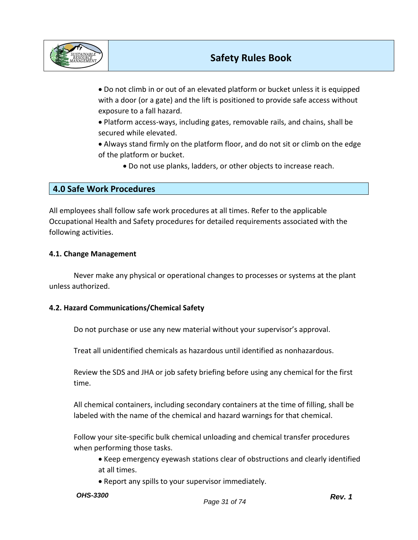

• Do not climb in or out of an elevated platform or bucket unless it is equipped with a door (or a gate) and the lift is positioned to provide safe access without exposure to a fall hazard.

• Platform access-ways, including gates, removable rails, and chains, shall be secured while elevated.

• Always stand firmly on the platform floor, and do not sit or climb on the edge of the platform or bucket.

• Do not use planks, ladders, or other objects to increase reach.

# **4.0 Safe Work Procedures**

All employees shall follow safe work procedures at all times. Refer to the applicable Occupational Health and Safety procedures for detailed requirements associated with the following activities.

### **4.1. Change Management**

Never make any physical or operational changes to processes or systems at the plant unless authorized.

### **4.2. Hazard Communications/Chemical Safety**

Do not purchase or use any new material without your supervisor's approval.

Treat all unidentified chemicals as hazardous until identified as nonhazardous.

Review the SDS and JHA or job safety briefing before using any chemical for the first time.

All chemical containers, including secondary containers at the time of filling, shall be labeled with the name of the chemical and hazard warnings for that chemical.

Follow your site-specific bulk chemical unloading and chemical transfer procedures when performing those tasks.

• Keep emergency eyewash stations clear of obstructions and clearly identified at all times.

• Report any spills to your supervisor immediately.

*OHS-3300*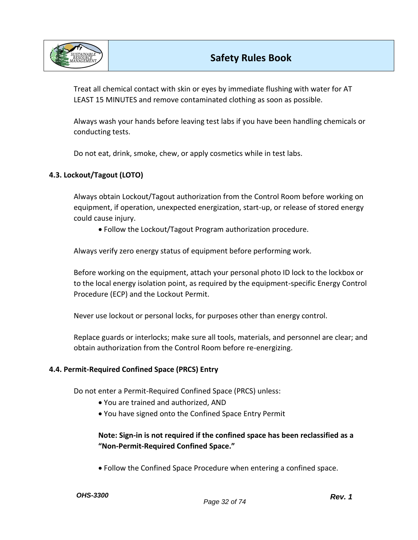

Treat all chemical contact with skin or eyes by immediate flushing with water for AT LEAST 15 MINUTES and remove contaminated clothing as soon as possible.

Always wash your hands before leaving test labs if you have been handling chemicals or conducting tests.

Do not eat, drink, smoke, chew, or apply cosmetics while in test labs.

## **4.3. Lockout/Tagout (LOTO)**

Always obtain Lockout/Tagout authorization from the Control Room before working on equipment, if operation, unexpected energization, start-up, or release of stored energy could cause injury.

• Follow the Lockout/Tagout Program authorization procedure.

Always verify zero energy status of equipment before performing work.

Before working on the equipment, attach your personal photo ID lock to the lockbox or to the local energy isolation point, as required by the equipment-specific Energy Control Procedure (ECP) and the Lockout Permit.

Never use lockout or personal locks, for purposes other than energy control.

Replace guards or interlocks; make sure all tools, materials, and personnel are clear; and obtain authorization from the Control Room before re-energizing.

## **4.4. Permit-Required Confined Space (PRCS) Entry**

Do not enter a Permit-Required Confined Space (PRCS) unless:

- You are trained and authorized, AND
- You have signed onto the Confined Space Entry Permit

# **Note: Sign-in is not required if the confined space has been reclassified as a "Non-Permit-Required Confined Space."**

• Follow the Confined Space Procedure when entering a confined space.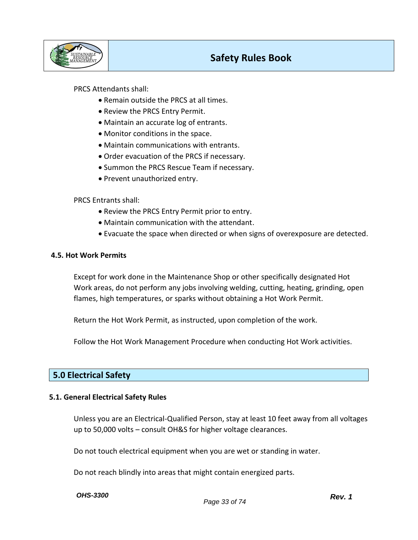

## PRCS Attendants shall:

- Remain outside the PRCS at all times.
- Review the PRCS Entry Permit.
- Maintain an accurate log of entrants.
- Monitor conditions in the space.
- Maintain communications with entrants.
- Order evacuation of the PRCS if necessary.
- Summon the PRCS Rescue Team if necessary.
- Prevent unauthorized entry.

### PRCS Entrants shall:

- Review the PRCS Entry Permit prior to entry.
- Maintain communication with the attendant.
- Evacuate the space when directed or when signs of overexposure are detected.

### **4.5. Hot Work Permits**

Except for work done in the Maintenance Shop or other specifically designated Hot Work areas, do not perform any jobs involving welding, cutting, heating, grinding, open flames, high temperatures, or sparks without obtaining a Hot Work Permit.

Return the Hot Work Permit, as instructed, upon completion of the work.

Follow the Hot Work Management Procedure when conducting Hot Work activities.

# **5.0 Electrical Safety**

### **5.1. General Electrical Safety Rules**

Unless you are an Electrical-Qualified Person, stay at least 10 feet away from all voltages up to 50,000 volts – consult OH&S for higher voltage clearances.

Do not touch electrical equipment when you are wet or standing in water.

Do not reach blindly into areas that might contain energized parts.

*OHS-3300*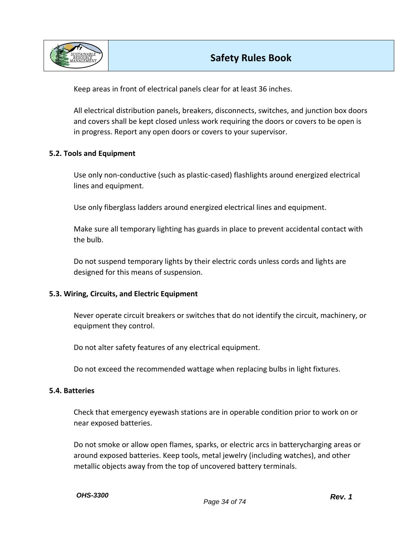

Keep areas in front of electrical panels clear for at least 36 inches.

All electrical distribution panels, breakers, disconnects, switches, and junction box doors and covers shall be kept closed unless work requiring the doors or covers to be open is in progress. Report any open doors or covers to your supervisor.

## **5.2. Tools and Equipment**

Use only non-conductive (such as plastic-cased) flashlights around energized electrical lines and equipment.

Use only fiberglass ladders around energized electrical lines and equipment.

Make sure all temporary lighting has guards in place to prevent accidental contact with the bulb.

Do not suspend temporary lights by their electric cords unless cords and lights are designed for this means of suspension.

### **5.3. Wiring, Circuits, and Electric Equipment**

Never operate circuit breakers or switches that do not identify the circuit, machinery, or equipment they control.

Do not alter safety features of any electrical equipment.

Do not exceed the recommended wattage when replacing bulbs in light fixtures.

### **5.4. Batteries**

Check that emergency eyewash stations are in operable condition prior to work on or near exposed batteries.

Do not smoke or allow open flames, sparks, or electric arcs in batterycharging areas or around exposed batteries. Keep tools, metal jewelry (including watches), and other metallic objects away from the top of uncovered battery terminals.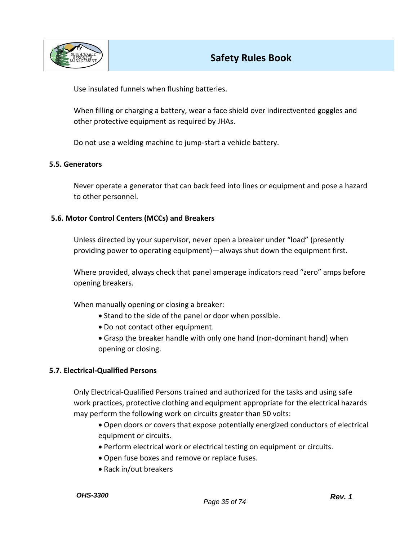

Use insulated funnels when flushing batteries.

When filling or charging a battery, wear a face shield over indirectvented goggles and other protective equipment as required by JHAs.

Do not use a welding machine to jump-start a vehicle battery.

#### **5.5. Generators**

Never operate a generator that can back feed into lines or equipment and pose a hazard to other personnel.

### **5.6. Motor Control Centers (MCCs) and Breakers**

Unless directed by your supervisor, never open a breaker under "load" (presently providing power to operating equipment)—always shut down the equipment first.

Where provided, always check that panel amperage indicators read "zero" amps before opening breakers.

When manually opening or closing a breaker:

- Stand to the side of the panel or door when possible.
- Do not contact other equipment.
- Grasp the breaker handle with only one hand (non-dominant hand) when opening or closing.

### **5.7. Electrical-Qualified Persons**

Only Electrical-Qualified Persons trained and authorized for the tasks and using safe work practices, protective clothing and equipment appropriate for the electrical hazards may perform the following work on circuits greater than 50 volts:

- Open doors or covers that expose potentially energized conductors of electrical equipment or circuits.
- Perform electrical work or electrical testing on equipment or circuits.
- Open fuse boxes and remove or replace fuses.
- Rack in/out breakers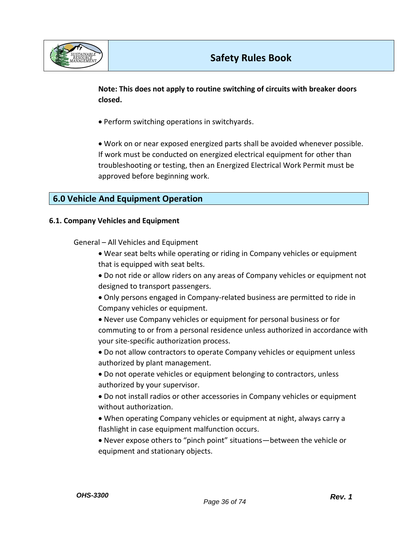

**Note: This does not apply to routine switching of circuits with breaker doors closed.** 

• Perform switching operations in switchyards.

• Work on or near exposed energized parts shall be avoided whenever possible. If work must be conducted on energized electrical equipment for other than troubleshooting or testing, then an Energized Electrical Work Permit must be approved before beginning work.

# **6.0 Vehicle And Equipment Operation**

### **6.1. Company Vehicles and Equipment**

General – All Vehicles and Equipment

- Wear seat belts while operating or riding in Company vehicles or equipment that is equipped with seat belts.
- Do not ride or allow riders on any areas of Company vehicles or equipment not designed to transport passengers.
- Only persons engaged in Company-related business are permitted to ride in Company vehicles or equipment.
- Never use Company vehicles or equipment for personal business or for commuting to or from a personal residence unless authorized in accordance with your site-specific authorization process.
- Do not allow contractors to operate Company vehicles or equipment unless authorized by plant management.
- Do not operate vehicles or equipment belonging to contractors, unless authorized by your supervisor.
- Do not install radios or other accessories in Company vehicles or equipment without authorization.
- When operating Company vehicles or equipment at night, always carry a flashlight in case equipment malfunction occurs.
- Never expose others to "pinch point" situations—between the vehicle or equipment and stationary objects.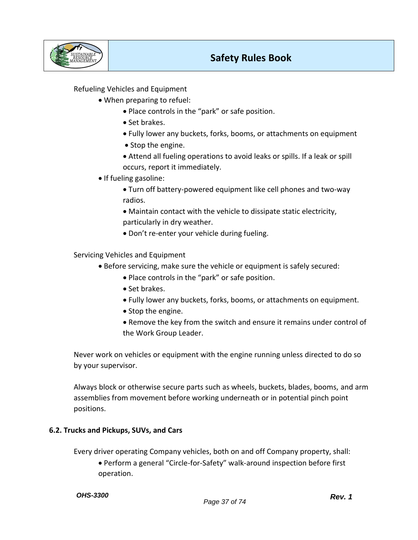

Refueling Vehicles and Equipment

- When preparing to refuel:
	- Place controls in the "park" or safe position.
	- Set brakes.
	- Fully lower any buckets, forks, booms, or attachments on equipment
	- Stop the engine.
	- Attend all fueling operations to avoid leaks or spills. If a leak or spill occurs, report it immediately.
- If fueling gasoline:
	- Turn off battery-powered equipment like cell phones and two-way radios.
	- Maintain contact with the vehicle to dissipate static electricity, particularly in dry weather.
	- Don't re-enter your vehicle during fueling.

### Servicing Vehicles and Equipment

- Before servicing, make sure the vehicle or equipment is safely secured:
	- Place controls in the "park" or safe position.
	- Set brakes.
	- Fully lower any buckets, forks, booms, or attachments on equipment.
	- Stop the engine.
	- Remove the key from the switch and ensure it remains under control of the Work Group Leader.

Never work on vehicles or equipment with the engine running unless directed to do so by your supervisor.

Always block or otherwise secure parts such as wheels, buckets, blades, booms, and arm assemblies from movement before working underneath or in potential pinch point positions.

### **6.2. Trucks and Pickups, SUVs, and Cars**

Every driver operating Company vehicles, both on and off Company property, shall:

• Perform a general "Circle-for-Safety" walk-around inspection before first operation.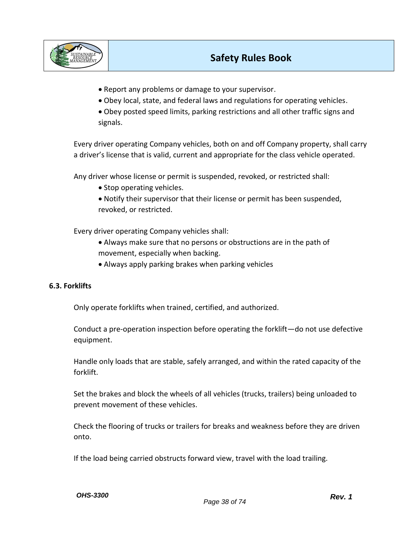

- Report any problems or damage to your supervisor.
- Obey local, state, and federal laws and regulations for operating vehicles.

• Obey posted speed limits, parking restrictions and all other traffic signs and signals.

Every driver operating Company vehicles, both on and off Company property, shall carry a driver's license that is valid, current and appropriate for the class vehicle operated.

Any driver whose license or permit is suspended, revoked, or restricted shall:

- Stop operating vehicles.
- Notify their supervisor that their license or permit has been suspended, revoked, or restricted.

Every driver operating Company vehicles shall:

- Always make sure that no persons or obstructions are in the path of movement, especially when backing.
- Always apply parking brakes when parking vehicles

## **6.3. Forklifts**

Only operate forklifts when trained, certified, and authorized.

Conduct a pre-operation inspection before operating the forklift—do not use defective equipment.

Handle only loads that are stable, safely arranged, and within the rated capacity of the forklift.

Set the brakes and block the wheels of all vehicles (trucks, trailers) being unloaded to prevent movement of these vehicles.

Check the flooring of trucks or trailers for breaks and weakness before they are driven onto.

If the load being carried obstructs forward view, travel with the load trailing.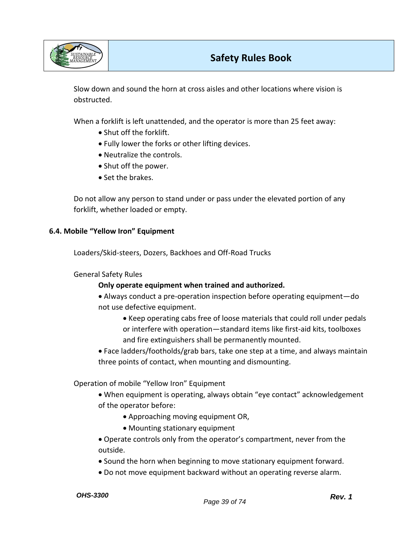

Slow down and sound the horn at cross aisles and other locations where vision is obstructed.

When a forklift is left unattended, and the operator is more than 25 feet away:

- Shut off the forklift.
- Fully lower the forks or other lifting devices.
- Neutralize the controls.
- Shut off the power.
- Set the brakes.

Do not allow any person to stand under or pass under the elevated portion of any forklift, whether loaded or empty.

### **6.4. Mobile "Yellow Iron" Equipment**

Loaders/Skid-steers, Dozers, Backhoes and Off-Road Trucks

### General Safety Rules

## **Only operate equipment when trained and authorized.**

• Always conduct a pre-operation inspection before operating equipment—do not use defective equipment.

- Keep operating cabs free of loose materials that could roll under pedals or interfere with operation—standard items like first-aid kits, toolboxes and fire extinguishers shall be permanently mounted.
- Face ladders/footholds/grab bars, take one step at a time, and always maintain three points of contact, when mounting and dismounting.

Operation of mobile "Yellow Iron" Equipment

- When equipment is operating, always obtain "eye contact" acknowledgement of the operator before:
	- Approaching moving equipment OR,
	- Mounting stationary equipment

• Operate controls only from the operator's compartment, never from the outside.

- Sound the horn when beginning to move stationary equipment forward.
- Do not move equipment backward without an operating reverse alarm.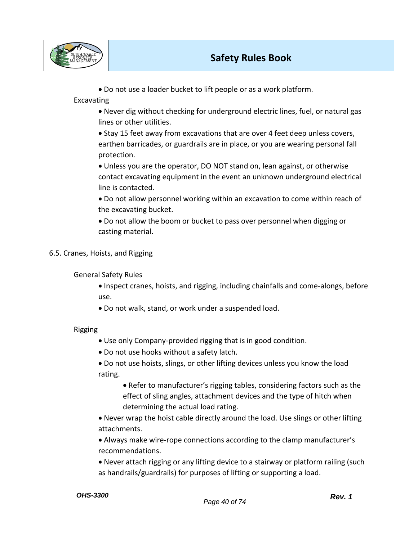



• Do not use a loader bucket to lift people or as a work platform.

Excavating

- Never dig without checking for underground electric lines, fuel, or natural gas lines or other utilities.
- Stay 15 feet away from excavations that are over 4 feet deep unless covers, earthen barricades, or guardrails are in place, or you are wearing personal fall protection.
- Unless you are the operator, DO NOT stand on, lean against, or otherwise contact excavating equipment in the event an unknown underground electrical line is contacted.
- Do not allow personnel working within an excavation to come within reach of the excavating bucket.
- Do not allow the boom or bucket to pass over personnel when digging or casting material.
- 6.5. Cranes, Hoists, and Rigging

General Safety Rules

- Inspect cranes, hoists, and rigging, including chainfalls and come-alongs, before use.
- Do not walk, stand, or work under a suspended load.

Rigging

- Use only Company-provided rigging that is in good condition.
- Do not use hooks without a safety latch.
- Do not use hoists, slings, or other lifting devices unless you know the load rating.
	- Refer to manufacturer's rigging tables, considering factors such as the effect of sling angles, attachment devices and the type of hitch when determining the actual load rating.
- Never wrap the hoist cable directly around the load. Use slings or other lifting attachments.
- Always make wire-rope connections according to the clamp manufacturer's recommendations.
- Never attach rigging or any lifting device to a stairway or platform railing (such as handrails/guardrails) for purposes of lifting or supporting a load.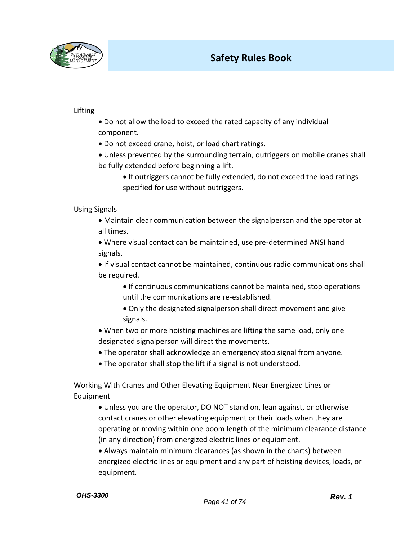

### Lifting

- Do not allow the load to exceed the rated capacity of any individual component.
- Do not exceed crane, hoist, or load chart ratings.
- Unless prevented by the surrounding terrain, outriggers on mobile cranes shall be fully extended before beginning a lift.
	- If outriggers cannot be fully extended, do not exceed the load ratings specified for use without outriggers.

### Using Signals

- Maintain clear communication between the signalperson and the operator at all times.
- Where visual contact can be maintained, use pre-determined ANSI hand signals.
- If visual contact cannot be maintained, continuous radio communications shall be required.
	- If continuous communications cannot be maintained, stop operations until the communications are re-established.
	- Only the designated signalperson shall direct movement and give signals.
- When two or more hoisting machines are lifting the same load, only one designated signalperson will direct the movements.
- The operator shall acknowledge an emergency stop signal from anyone.
- The operator shall stop the lift if a signal is not understood.

Working With Cranes and Other Elevating Equipment Near Energized Lines or Equipment

- Unless you are the operator, DO NOT stand on, lean against, or otherwise contact cranes or other elevating equipment or their loads when they are operating or moving within one boom length of the minimum clearance distance (in any direction) from energized electric lines or equipment.
- Always maintain minimum clearances (as shown in the charts) between energized electric lines or equipment and any part of hoisting devices, loads, or equipment.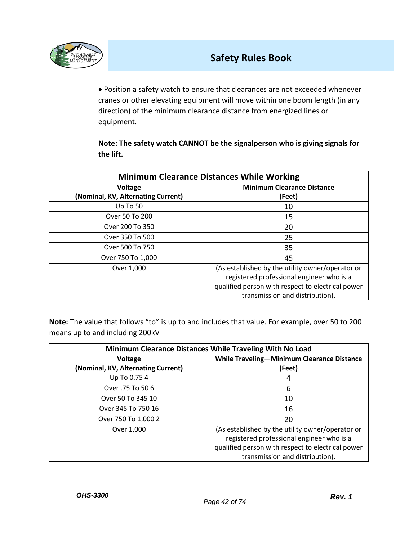

• Position a safety watch to ensure that clearances are not exceeded whenever cranes or other elevating equipment will move within one boom length (in any direction) of the minimum clearance distance from energized lines or equipment.

**Note: The safety watch CANNOT be the signalperson who is giving signals for the lift.**

| <b>Minimum Clearance Distances While Working</b> |                                                   |  |
|--------------------------------------------------|---------------------------------------------------|--|
| Voltage                                          | <b>Minimum Clearance Distance</b>                 |  |
| (Nominal, KV, Alternating Current)               | (Feet)                                            |  |
| Up To 50                                         | 10                                                |  |
| Over 50 To 200                                   | 15                                                |  |
| Over 200 To 350                                  | 20                                                |  |
| Over 350 To 500                                  | 25                                                |  |
| Over 500 To 750                                  | 35                                                |  |
| Over 750 To 1,000                                | 45                                                |  |
| Over 1,000                                       | (As established by the utility owner/operator or  |  |
|                                                  | registered professional engineer who is a         |  |
|                                                  | qualified person with respect to electrical power |  |
|                                                  | transmission and distribution).                   |  |

**Note:** The value that follows "to" is up to and includes that value. For example, over 50 to 200 means up to and including 200kV

| Minimum Clearance Distances While Traveling With No Load |                                                                                                                                                    |  |  |
|----------------------------------------------------------|----------------------------------------------------------------------------------------------------------------------------------------------------|--|--|
| Voltage                                                  | <b>While Traveling-Minimum Clearance Distance</b>                                                                                                  |  |  |
| (Nominal, KV, Alternating Current)                       | (Feet)                                                                                                                                             |  |  |
| Up To 0.75 4                                             | 4                                                                                                                                                  |  |  |
| Over .75 To 50 6                                         | 6                                                                                                                                                  |  |  |
| Over 50 To 345 10                                        | 10                                                                                                                                                 |  |  |
| Over 345 To 750 16                                       | 16                                                                                                                                                 |  |  |
| Over 750 To 1,000 2                                      | 20                                                                                                                                                 |  |  |
| Over 1,000                                               | (As established by the utility owner/operator or<br>registered professional engineer who is a<br>qualified person with respect to electrical power |  |  |
|                                                          | transmission and distribution).                                                                                                                    |  |  |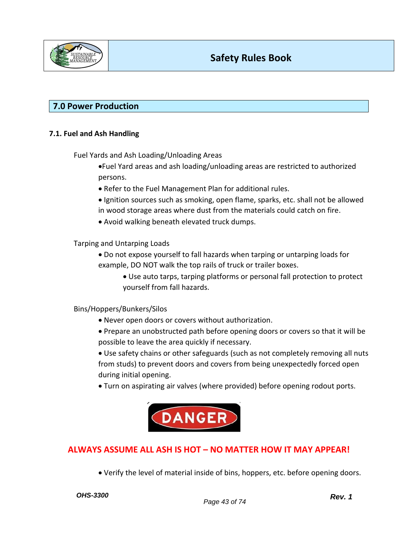

## **7.0 Power Production**

### **7.1. Fuel and Ash Handling**

Fuel Yards and Ash Loading/Unloading Areas

•Fuel Yard areas and ash loading/unloading areas are restricted to authorized persons.

- Refer to the Fuel Management Plan for additional rules.
- Ignition sources such as smoking, open flame, sparks, etc. shall not be allowed in wood storage areas where dust from the materials could catch on fire.
- Avoid walking beneath elevated truck dumps.

Tarping and Untarping Loads

- Do not expose yourself to fall hazards when tarping or untarping loads for example, DO NOT walk the top rails of truck or trailer boxes.
	- Use auto tarps, tarping platforms or personal fall protection to protect yourself from fall hazards.

### Bins/Hoppers/Bunkers/Silos

- Never open doors or covers without authorization.
- Prepare an unobstructed path before opening doors or covers so that it will be possible to leave the area quickly if necessary.
- Use safety chains or other safeguards (such as not completely removing all nuts from studs) to prevent doors and covers from being unexpectedly forced open during initial opening.
- Turn on aspirating air valves (where provided) before opening rodout ports.



## **ALWAYS ASSUME ALL ASH IS HOT – NO MATTER HOW IT MAY APPEAR!**

• Verify the level of material inside of bins, hoppers, etc. before opening doors.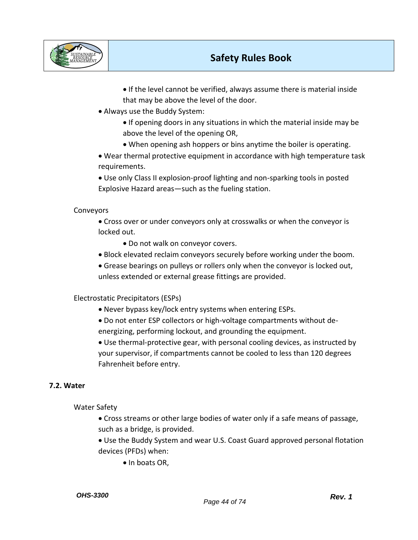

• If the level cannot be verified, always assume there is material inside that may be above the level of the door.

• Always use the Buddy System:

• If opening doors in any situations in which the material inside may be above the level of the opening OR,

• When opening ash hoppers or bins anytime the boiler is operating.

• Wear thermal protective equipment in accordance with high temperature task requirements.

• Use only Class II explosion-proof lighting and non-sparking tools in posted Explosive Hazard areas—such as the fueling station.

## Conveyors

• Cross over or under conveyors only at crosswalks or when the conveyor is locked out.

• Do not walk on conveyor covers.

- Block elevated reclaim conveyors securely before working under the boom.
- Grease bearings on pulleys or rollers only when the conveyor is locked out, unless extended or external grease fittings are provided.

Electrostatic Precipitators (ESPs)

- Never bypass key/lock entry systems when entering ESPs.
- Do not enter ESP collectors or high-voltage compartments without deenergizing, performing lockout, and grounding the equipment.

• Use thermal-protective gear, with personal cooling devices, as instructed by your supervisor, if compartments cannot be cooled to less than 120 degrees Fahrenheit before entry.

## **7.2. Water**

Water Safety

• Cross streams or other large bodies of water only if a safe means of passage, such as a bridge, is provided.

• Use the Buddy System and wear U.S. Coast Guard approved personal flotation devices (PFDs) when:

• In boats OR,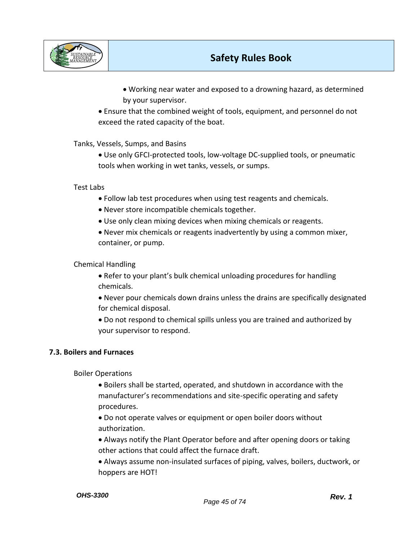

• Working near water and exposed to a drowning hazard, as determined by your supervisor.

• Ensure that the combined weight of tools, equipment, and personnel do not exceed the rated capacity of the boat.

Tanks, Vessels, Sumps, and Basins

• Use only GFCI-protected tools, low-voltage DC-supplied tools, or pneumatic tools when working in wet tanks, vessels, or sumps.

### Test Labs

- Follow lab test procedures when using test reagents and chemicals.
- Never store incompatible chemicals together.
- Use only clean mixing devices when mixing chemicals or reagents.
- Never mix chemicals or reagents inadvertently by using a common mixer, container, or pump.

### Chemical Handling

- Refer to your plant's bulk chemical unloading procedures for handling chemicals.
- Never pour chemicals down drains unless the drains are specifically designated for chemical disposal.
- Do not respond to chemical spills unless you are trained and authorized by your supervisor to respond.

## **7.3. Boilers and Furnaces**

Boiler Operations

- Boilers shall be started, operated, and shutdown in accordance with the manufacturer's recommendations and site-specific operating and safety procedures.
- Do not operate valves or equipment or open boiler doors without authorization.
- Always notify the Plant Operator before and after opening doors or taking other actions that could affect the furnace draft.
- Always assume non-insulated surfaces of piping, valves, boilers, ductwork, or hoppers are HOT!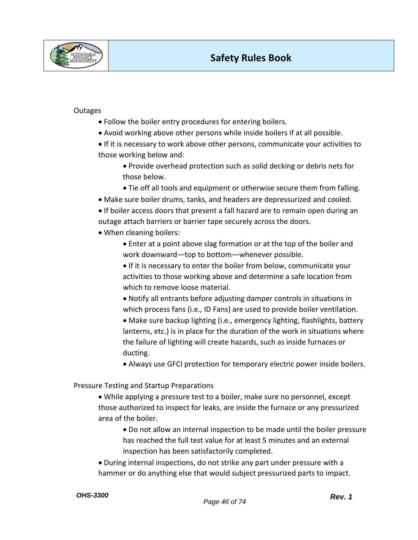

### **Outages**

- Follow the boiler entry procedures for entering boilers.
- Avoid working above other persons while inside boilers if at all possible.
- If it is necessary to work above other persons, communicate your activities to those working below and:
	- Provide overhead protection such as solid decking or debris nets for those below.
	- Tie off all tools and equipment or otherwise secure them from falling.
- Make sure boiler drums, tanks, and headers are depressurized and cooled.
- If boiler access doors that present a fall hazard are to remain open during an outage attach barriers or barrier tape securely across the doors.
- When cleaning boilers:
	- Enter at a point above slag formation or at the top of the boiler and work downward—top to bottom—whenever possible.
	- If it is necessary to enter the boiler from below, communicate your activities to those working above and determine a safe location from which to remove loose material.
	- Notify all entrants before adjusting damper controls in situations in which process fans (i.e., ID Fans) are used to provide boiler ventilation.
	- Make sure backup lighting (i.e., emergency lighting, flashlights, battery lanterns, etc.) is in place for the duration of the work in situations where the failure of lighting will create hazards, such as inside furnaces or ducting.
	- Always use GFCI protection for temporary electric power inside boilers.

Pressure Testing and Startup Preparations

- While applying a pressure test to a boiler, make sure no personnel, except those authorized to inspect for leaks, are inside the furnace or any pressurized area of the boiler.
	- Do not allow an internal inspection to be made until the boiler pressure has reached the full test value for at least 5 minutes and an external inspection has been satisfactorily completed.
- During internal inspections, do not strike any part under pressure with a hammer or do anything else that would subject pressurized parts to impact.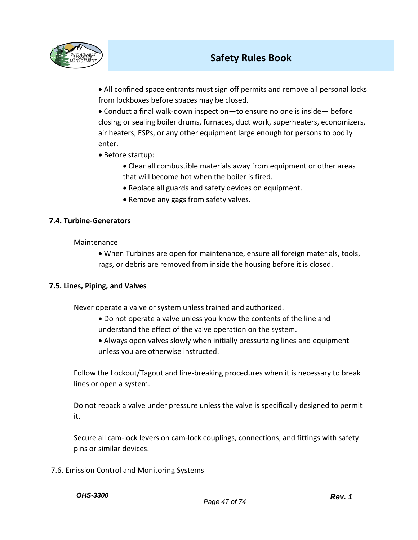

• All confined space entrants must sign off permits and remove all personal locks from lockboxes before spaces may be closed.

• Conduct a final walk-down inspection—to ensure no one is inside— before closing or sealing boiler drums, furnaces, duct work, superheaters, economizers, air heaters, ESPs, or any other equipment large enough for persons to bodily enter.

- Before startup:
	- Clear all combustible materials away from equipment or other areas that will become hot when the boiler is fired.
	- Replace all guards and safety devices on equipment.
	- Remove any gags from safety valves.

## **7.4. Turbine-Generators**

Maintenance

• When Turbines are open for maintenance, ensure all foreign materials, tools, rags, or debris are removed from inside the housing before it is closed.

### **7.5. Lines, Piping, and Valves**

Never operate a valve or system unless trained and authorized.

- Do not operate a valve unless you know the contents of the line and understand the effect of the valve operation on the system.
- Always open valves slowly when initially pressurizing lines and equipment unless you are otherwise instructed.

Follow the Lockout/Tagout and line-breaking procedures when it is necessary to break lines or open a system.

Do not repack a valve under pressure unless the valve is specifically designed to permit it.

Secure all cam-lock levers on cam-lock couplings, connections, and fittings with safety pins or similar devices.

7.6. Emission Control and Monitoring Systems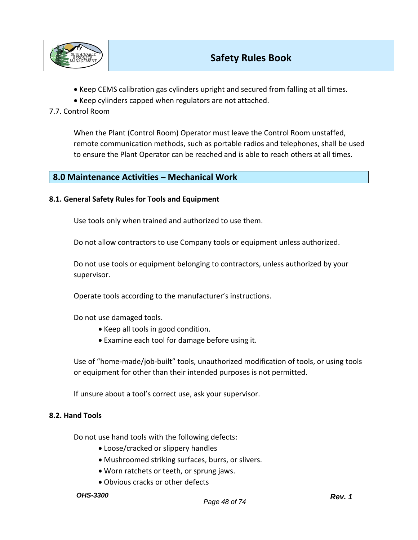

- Keep CEMS calibration gas cylinders upright and secured from falling at all times.
- Keep cylinders capped when regulators are not attached.

## 7.7. Control Room

When the Plant (Control Room) Operator must leave the Control Room unstaffed, remote communication methods, such as portable radios and telephones, shall be used to ensure the Plant Operator can be reached and is able to reach others at all times.

## **8.0 Maintenance Activities – Mechanical Work**

### **8.1. General Safety Rules for Tools and Equipment**

Use tools only when trained and authorized to use them.

Do not allow contractors to use Company tools or equipment unless authorized.

Do not use tools or equipment belonging to contractors, unless authorized by your supervisor.

Operate tools according to the manufacturer's instructions.

Do not use damaged tools.

- Keep all tools in good condition.
- Examine each tool for damage before using it.

Use of "home-made/job-built" tools, unauthorized modification of tools, or using tools or equipment for other than their intended purposes is not permitted.

If unsure about a tool's correct use, ask your supervisor.

### **8.2. Hand Tools**

Do not use hand tools with the following defects:

- Loose/cracked or slippery handles
- Mushroomed striking surfaces, burrs, or slivers.
- Worn ratchets or teeth, or sprung jaws.
- Obvious cracks or other defects

#### *OHS-3300*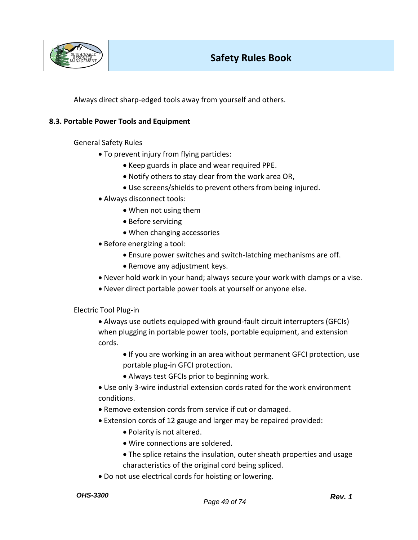

Always direct sharp-edged tools away from yourself and others.

### **8.3. Portable Power Tools and Equipment**

General Safety Rules

- To prevent injury from flying particles:
	- Keep guards in place and wear required PPE.
	- Notify others to stay clear from the work area OR,
	- Use screens/shields to prevent others from being injured.
- Always disconnect tools:
	- When not using them
	- Before servicing
	- When changing accessories
- Before energizing a tool:
	- Ensure power switches and switch-latching mechanisms are off.
	- Remove any adjustment keys.
- Never hold work in your hand; always secure your work with clamps or a vise.
- Never direct portable power tools at yourself or anyone else.

Electric Tool Plug-in

- Always use outlets equipped with ground-fault circuit interrupters (GFCIs) when plugging in portable power tools, portable equipment, and extension cords.
	- If you are working in an area without permanent GFCI protection, use portable plug-in GFCI protection.
	- Always test GFCIs prior to beginning work.
- Use only 3-wire industrial extension cords rated for the work environment conditions.
- Remove extension cords from service if cut or damaged.
- Extension cords of 12 gauge and larger may be repaired provided:
	- Polarity is not altered.
	- Wire connections are soldered.
	- The splice retains the insulation, outer sheath properties and usage characteristics of the original cord being spliced.
- Do not use electrical cords for hoisting or lowering.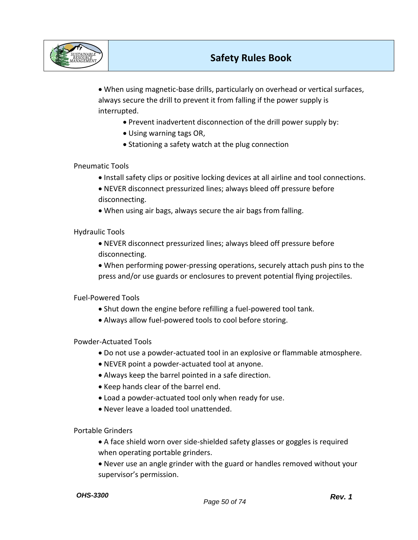

• When using magnetic-base drills, particularly on overhead or vertical surfaces, always secure the drill to prevent it from falling if the power supply is interrupted.

- Prevent inadvertent disconnection of the drill power supply by:
- Using warning tags OR,
- Stationing a safety watch at the plug connection

## Pneumatic Tools

- Install safety clips or positive locking devices at all airline and tool connections.
- NEVER disconnect pressurized lines; always bleed off pressure before disconnecting.
- When using air bags, always secure the air bags from falling.

Hydraulic Tools

- NEVER disconnect pressurized lines; always bleed off pressure before disconnecting.
- When performing power-pressing operations, securely attach push pins to the press and/or use guards or enclosures to prevent potential flying projectiles.

Fuel-Powered Tools

- Shut down the engine before refilling a fuel-powered tool tank.
- Always allow fuel-powered tools to cool before storing.

Powder-Actuated Tools

- Do not use a powder-actuated tool in an explosive or flammable atmosphere.
- NEVER point a powder-actuated tool at anyone.
- Always keep the barrel pointed in a safe direction.
- Keep hands clear of the barrel end.
- Load a powder-actuated tool only when ready for use.
- Never leave a loaded tool unattended.

Portable Grinders

- A face shield worn over side-shielded safety glasses or goggles is required when operating portable grinders.
- Never use an angle grinder with the guard or handles removed without your supervisor's permission.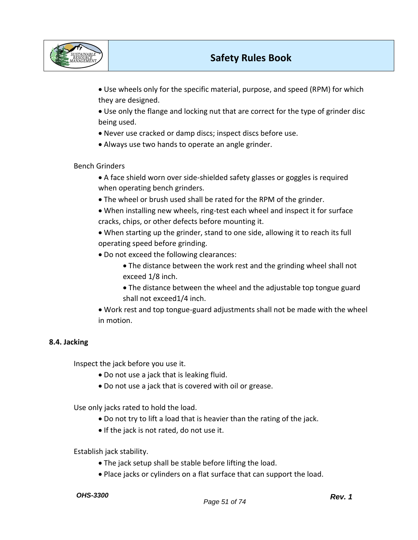

- Use wheels only for the specific material, purpose, and speed (RPM) for which they are designed.
- Use only the flange and locking nut that are correct for the type of grinder disc being used.
- Never use cracked or damp discs; inspect discs before use.
- Always use two hands to operate an angle grinder.

Bench Grinders

- A face shield worn over side-shielded safety glasses or goggles is required when operating bench grinders.
- The wheel or brush used shall be rated for the RPM of the grinder.
- When installing new wheels, ring-test each wheel and inspect it for surface cracks, chips, or other defects before mounting it.
- When starting up the grinder, stand to one side, allowing it to reach its full operating speed before grinding.
- Do not exceed the following clearances:
	- The distance between the work rest and the grinding wheel shall not exceed 1/8 inch.
	- The distance between the wheel and the adjustable top tongue guard shall not exceed1/4 inch.
- Work rest and top tongue-guard adjustments shall not be made with the wheel in motion.

## **8.4. Jacking**

Inspect the jack before you use it.

- Do not use a jack that is leaking fluid.
- Do not use a jack that is covered with oil or grease.

Use only jacks rated to hold the load.

- Do not try to lift a load that is heavier than the rating of the jack.
- If the jack is not rated, do not use it.

Establish jack stability.

- The jack setup shall be stable before lifting the load.
- Place jacks or cylinders on a flat surface that can support the load.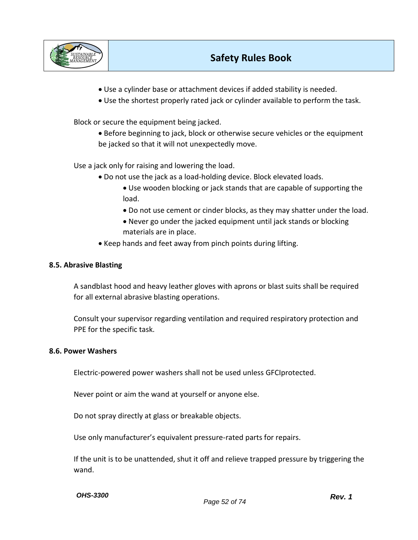

- Use a cylinder base or attachment devices if added stability is needed.
- Use the shortest properly rated jack or cylinder available to perform the task.

Block or secure the equipment being jacked.

• Before beginning to jack, block or otherwise secure vehicles or the equipment be jacked so that it will not unexpectedly move.

Use a jack only for raising and lowering the load.

- Do not use the jack as a load-holding device. Block elevated loads.
	- Use wooden blocking or jack stands that are capable of supporting the load.
	- Do not use cement or cinder blocks, as they may shatter under the load.
	- Never go under the jacked equipment until jack stands or blocking materials are in place.
- Keep hands and feet away from pinch points during lifting.

### **8.5. Abrasive Blasting**

A sandblast hood and heavy leather gloves with aprons or blast suits shall be required for all external abrasive blasting operations.

Consult your supervisor regarding ventilation and required respiratory protection and PPE for the specific task.

#### **8.6. Power Washers**

Electric-powered power washers shall not be used unless GFCIprotected.

Never point or aim the wand at yourself or anyone else.

Do not spray directly at glass or breakable objects.

Use only manufacturer's equivalent pressure-rated parts for repairs.

If the unit is to be unattended, shut it off and relieve trapped pressure by triggering the wand.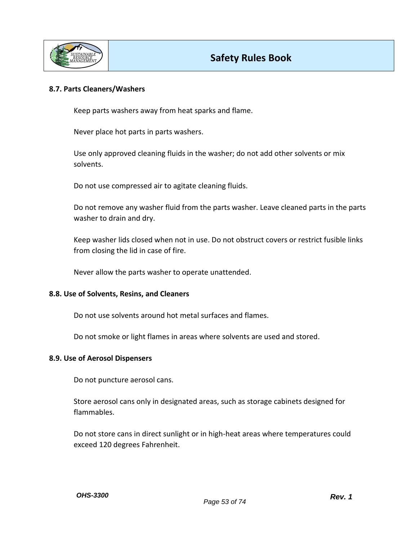

#### **8.7. Parts Cleaners/Washers**

Keep parts washers away from heat sparks and flame.

Never place hot parts in parts washers.

Use only approved cleaning fluids in the washer; do not add other solvents or mix solvents.

Do not use compressed air to agitate cleaning fluids.

Do not remove any washer fluid from the parts washer. Leave cleaned parts in the parts washer to drain and dry.

Keep washer lids closed when not in use. Do not obstruct covers or restrict fusible links from closing the lid in case of fire.

Never allow the parts washer to operate unattended.

#### **8.8. Use of Solvents, Resins, and Cleaners**

Do not use solvents around hot metal surfaces and flames.

Do not smoke or light flames in areas where solvents are used and stored.

#### **8.9. Use of Aerosol Dispensers**

Do not puncture aerosol cans.

Store aerosol cans only in designated areas, such as storage cabinets designed for flammables.

Do not store cans in direct sunlight or in high-heat areas where temperatures could exceed 120 degrees Fahrenheit.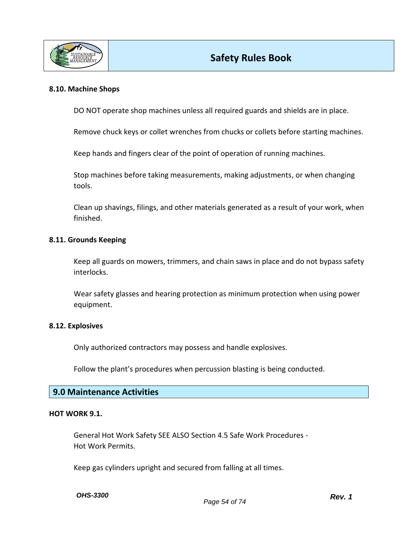

### **8.10. Machine Shops**

DO NOT operate shop machines unless all required guards and shields are in place.

Remove chuck keys or collet wrenches from chucks or collets before starting machines.

Keep hands and fingers clear of the point of operation of running machines.

Stop machines before taking measurements, making adjustments, or when changing tools.

Clean up shavings, filings, and other materials generated as a result of your work, when finished.

#### **8.11. Grounds Keeping**

Keep all guards on mowers, trimmers, and chain saws in place and do not bypass safety interlocks.

Wear safety glasses and hearing protection as minimum protection when using power equipment.

#### **8.12. Explosives**

Only authorized contractors may possess and handle explosives.

Follow the plant's procedures when percussion blasting is being conducted.

### **9.0 Maintenance Activities**

#### **HOT WORK 9.1.**

General Hot Work Safety SEE ALSO Section 4.5 Safe Work Procedures - Hot Work Permits.

Keep gas cylinders upright and secured from falling at all times.

*OHS-3300*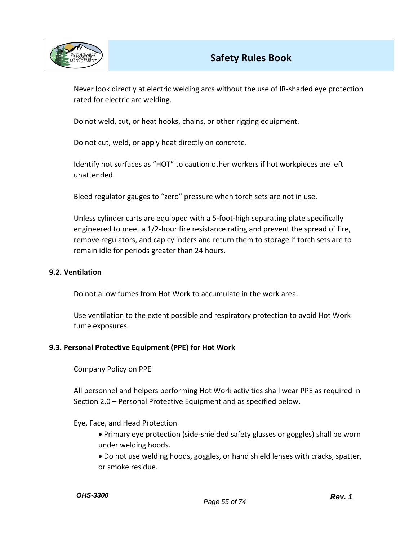

Never look directly at electric welding arcs without the use of IR-shaded eye protection rated for electric arc welding.

Do not weld, cut, or heat hooks, chains, or other rigging equipment.

Do not cut, weld, or apply heat directly on concrete.

Identify hot surfaces as "HOT" to caution other workers if hot workpieces are left unattended.

Bleed regulator gauges to "zero" pressure when torch sets are not in use.

Unless cylinder carts are equipped with a 5-foot-high separating plate specifically engineered to meet a 1/2-hour fire resistance rating and prevent the spread of fire, remove regulators, and cap cylinders and return them to storage if torch sets are to remain idle for periods greater than 24 hours.

### **9.2. Ventilation**

Do not allow fumes from Hot Work to accumulate in the work area.

Use ventilation to the extent possible and respiratory protection to avoid Hot Work fume exposures.

### **9.3. Personal Protective Equipment (PPE) for Hot Work**

Company Policy on PPE

All personnel and helpers performing Hot Work activities shall wear PPE as required in Section 2.0 – Personal Protective Equipment and as specified below.

### Eye, Face, and Head Protection

• Primary eye protection (side-shielded safety glasses or goggles) shall be worn under welding hoods.

• Do not use welding hoods, goggles, or hand shield lenses with cracks, spatter, or smoke residue.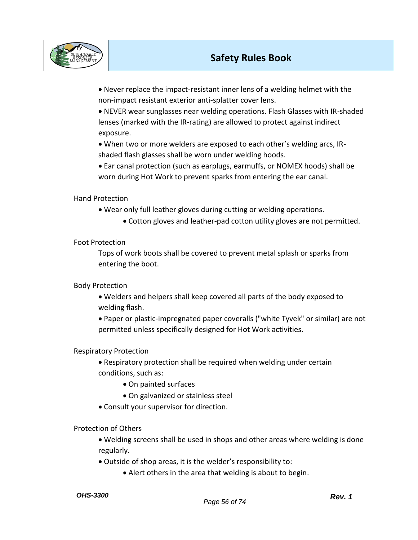

• Never replace the impact-resistant inner lens of a welding helmet with the non-impact resistant exterior anti-splatter cover lens.

• NEVER wear sunglasses near welding operations. Flash Glasses with IR-shaded lenses (marked with the IR-rating) are allowed to protect against indirect exposure.

• When two or more welders are exposed to each other's welding arcs, IRshaded flash glasses shall be worn under welding hoods.

• Ear canal protection (such as earplugs, earmuffs, or NOMEX hoods) shall be worn during Hot Work to prevent sparks from entering the ear canal.

Hand Protection

• Wear only full leather gloves during cutting or welding operations.

• Cotton gloves and leather-pad cotton utility gloves are not permitted.

Foot Protection

Tops of work boots shall be covered to prevent metal splash or sparks from entering the boot.

Body Protection

• Welders and helpers shall keep covered all parts of the body exposed to welding flash.

• Paper or plastic-impregnated paper coveralls ("white Tyvek" or similar) are not permitted unless specifically designed for Hot Work activities.

## Respiratory Protection

- Respiratory protection shall be required when welding under certain conditions, such as:
	- On painted surfaces
	- On galvanized or stainless steel
- Consult your supervisor for direction.

Protection of Others

• Welding screens shall be used in shops and other areas where welding is done regularly.

• Outside of shop areas, it is the welder's responsibility to:

• Alert others in the area that welding is about to begin.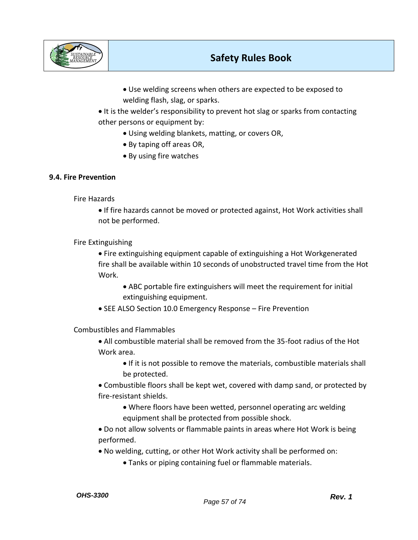

- Use welding screens when others are expected to be exposed to welding flash, slag, or sparks.
- It is the welder's responsibility to prevent hot slag or sparks from contacting other persons or equipment by:
	- Using welding blankets, matting, or covers OR,
	- By taping off areas OR,
	- By using fire watches

### **9.4. Fire Prevention**

Fire Hazards

• If fire hazards cannot be moved or protected against, Hot Work activities shall not be performed.

Fire Extinguishing

- Fire extinguishing equipment capable of extinguishing a Hot Workgenerated fire shall be available within 10 seconds of unobstructed travel time from the Hot Work.
	- ABC portable fire extinguishers will meet the requirement for initial extinguishing equipment.
- SEE ALSO Section 10.0 Emergency Response Fire Prevention

Combustibles and Flammables

- All combustible material shall be removed from the 35-foot radius of the Hot Work area.
	- If it is not possible to remove the materials, combustible materials shall be protected.
- Combustible floors shall be kept wet, covered with damp sand, or protected by fire-resistant shields.
	- Where floors have been wetted, personnel operating arc welding equipment shall be protected from possible shock.
- Do not allow solvents or flammable paints in areas where Hot Work is being performed.
- No welding, cutting, or other Hot Work activity shall be performed on:
	- Tanks or piping containing fuel or flammable materials.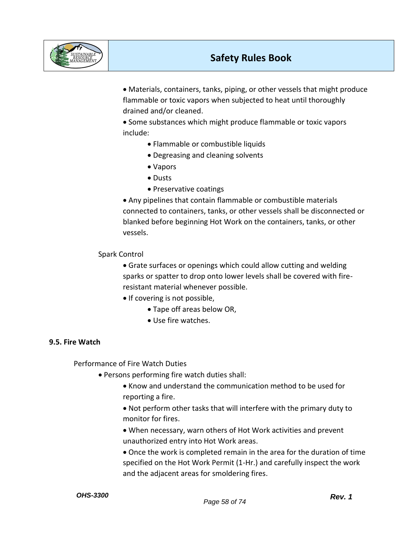

• Materials, containers, tanks, piping, or other vessels that might produce flammable or toxic vapors when subjected to heat until thoroughly drained and/or cleaned.

• Some substances which might produce flammable or toxic vapors include:

- Flammable or combustible liquids
- Degreasing and cleaning solvents
- Vapors
- Dusts
- Preservative coatings

• Any pipelines that contain flammable or combustible materials connected to containers, tanks, or other vessels shall be disconnected or blanked before beginning Hot Work on the containers, tanks, or other vessels.

## Spark Control

• Grate surfaces or openings which could allow cutting and welding sparks or spatter to drop onto lower levels shall be covered with fireresistant material whenever possible.

- If covering is not possible,
	- Tape off areas below OR,
	- Use fire watches.

## **9.5. Fire Watch**

Performance of Fire Watch Duties

- Persons performing fire watch duties shall:
	- Know and understand the communication method to be used for reporting a fire.

• Not perform other tasks that will interfere with the primary duty to monitor for fires.

- When necessary, warn others of Hot Work activities and prevent unauthorized entry into Hot Work areas.
- Once the work is completed remain in the area for the duration of time specified on the Hot Work Permit (1-Hr.) and carefully inspect the work and the adjacent areas for smoldering fires.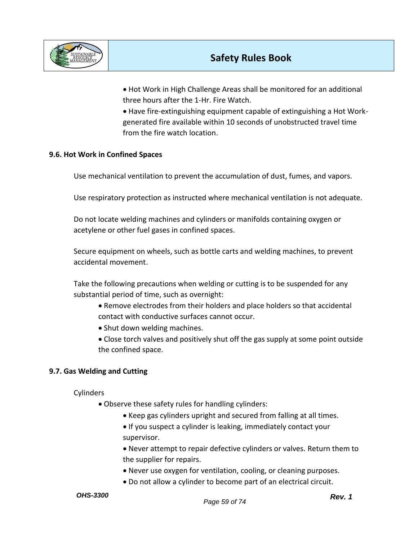

• Hot Work in High Challenge Areas shall be monitored for an additional three hours after the 1-Hr. Fire Watch.

• Have fire-extinguishing equipment capable of extinguishing a Hot Workgenerated fire available within 10 seconds of unobstructed travel time from the fire watch location.

## **9.6. Hot Work in Confined Spaces**

Use mechanical ventilation to prevent the accumulation of dust, fumes, and vapors.

Use respiratory protection as instructed where mechanical ventilation is not adequate.

Do not locate welding machines and cylinders or manifolds containing oxygen or acetylene or other fuel gases in confined spaces.

Secure equipment on wheels, such as bottle carts and welding machines, to prevent accidental movement.

Take the following precautions when welding or cutting is to be suspended for any substantial period of time, such as overnight:

- Remove electrodes from their holders and place holders so that accidental contact with conductive surfaces cannot occur.
- Shut down welding machines.
- Close torch valves and positively shut off the gas supply at some point outside the confined space.

## **9.7. Gas Welding and Cutting**

**Cylinders** 

- Observe these safety rules for handling cylinders:
	- Keep gas cylinders upright and secured from falling at all times.
	- If you suspect a cylinder is leaking, immediately contact your supervisor.

• Never attempt to repair defective cylinders or valves. Return them to the supplier for repairs.

- Never use oxygen for ventilation, cooling, or cleaning purposes.
- Do not allow a cylinder to become part of an electrical circuit.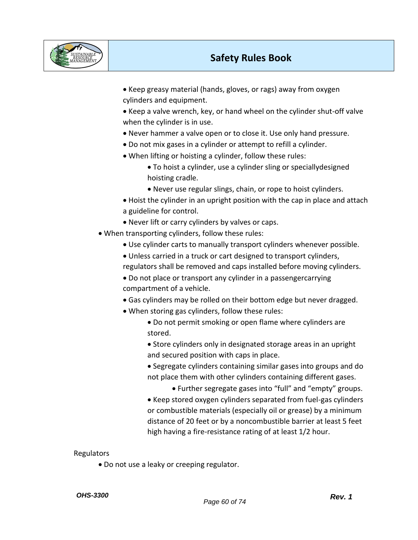

• Keep greasy material (hands, gloves, or rags) away from oxygen cylinders and equipment.

• Keep a valve wrench, key, or hand wheel on the cylinder shut-off valve when the cylinder is in use.

- Never hammer a valve open or to close it. Use only hand pressure.
- Do not mix gases in a cylinder or attempt to refill a cylinder.
- When lifting or hoisting a cylinder, follow these rules:

• To hoist a cylinder, use a cylinder sling or speciallydesigned hoisting cradle.

- Never use regular slings, chain, or rope to hoist cylinders.
- Hoist the cylinder in an upright position with the cap in place and attach a guideline for control.
- Never lift or carry cylinders by valves or caps.
- When transporting cylinders, follow these rules:
	- Use cylinder carts to manually transport cylinders whenever possible.
	- Unless carried in a truck or cart designed to transport cylinders, regulators shall be removed and caps installed before moving cylinders.
	- Do not place or transport any cylinder in a passengercarrying compartment of a vehicle.
	- Gas cylinders may be rolled on their bottom edge but never dragged.
	- When storing gas cylinders, follow these rules:
		- Do not permit smoking or open flame where cylinders are stored.
		- Store cylinders only in designated storage areas in an upright and secured position with caps in place.
		- Segregate cylinders containing similar gases into groups and do not place them with other cylinders containing different gases.
			- Further segregate gases into "full" and "empty" groups.
		- Keep stored oxygen cylinders separated from fuel-gas cylinders or combustible materials (especially oil or grease) by a minimum distance of 20 feet or by a noncombustible barrier at least 5 feet high having a fire-resistance rating of at least 1/2 hour.

### Regulators

• Do not use a leaky or creeping regulator.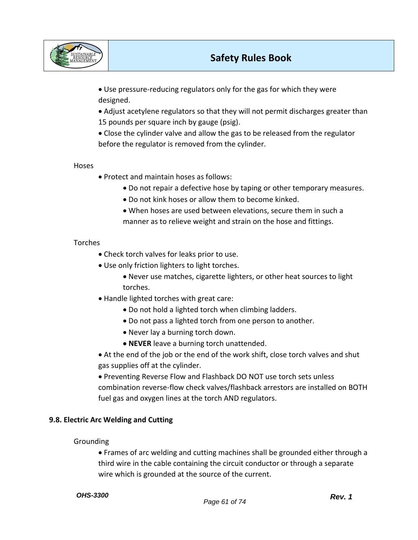

• Use pressure-reducing regulators only for the gas for which they were designed.

• Adjust acetylene regulators so that they will not permit discharges greater than 15 pounds per square inch by gauge (psig).

• Close the cylinder valve and allow the gas to be released from the regulator before the regulator is removed from the cylinder.

Hoses

- Protect and maintain hoses as follows:
	- Do not repair a defective hose by taping or other temporary measures.
	- Do not kink hoses or allow them to become kinked.
	- When hoses are used between elevations, secure them in such a manner as to relieve weight and strain on the hose and fittings.

### Torches

- Check torch valves for leaks prior to use.
- Use only friction lighters to light torches.
	- Never use matches, cigarette lighters, or other heat sources to light torches.
- Handle lighted torches with great care:
	- Do not hold a lighted torch when climbing ladders.
	- Do not pass a lighted torch from one person to another.
	- Never lay a burning torch down.
	- **NEVER** leave a burning torch unattended.

• At the end of the job or the end of the work shift, close torch valves and shut gas supplies off at the cylinder.

• Preventing Reverse Flow and Flashback DO NOT use torch sets unless combination reverse-flow check valves/flashback arrestors are installed on BOTH fuel gas and oxygen lines at the torch AND regulators.

### **9.8. Electric Arc Welding and Cutting**

### Grounding

• Frames of arc welding and cutting machines shall be grounded either through a third wire in the cable containing the circuit conductor or through a separate wire which is grounded at the source of the current.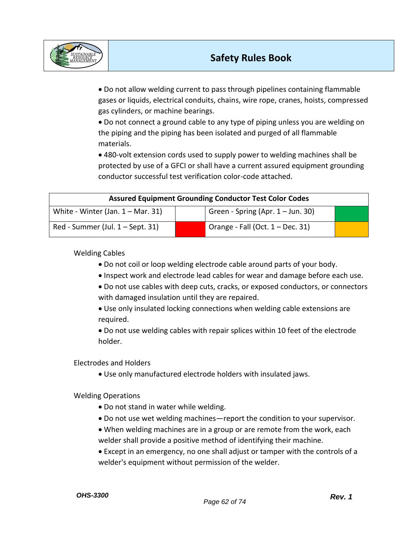

• Do not allow welding current to pass through pipelines containing flammable gases or liquids, electrical conduits, chains, wire rope, cranes, hoists, compressed gas cylinders, or machine bearings.

• Do not connect a ground cable to any type of piping unless you are welding on the piping and the piping has been isolated and purged of all flammable materials.

• 480-volt extension cords used to supply power to welding machines shall be protected by use of a GFCI or shall have a current assured equipment grounding conductor successful test verification color-code attached.

| <b>Assured Equipment Grounding Conductor Test Color Codes</b> |  |                                     |  |
|---------------------------------------------------------------|--|-------------------------------------|--|
| White - Winter (Jan. $1 -$ Mar. 31)                           |  | Green - Spring (Apr. $1 -$ Jun. 30) |  |
| Red - Summer (Jul. 1 – Sept. 31)                              |  | Orange - Fall (Oct. 1 – Dec. 31)    |  |

Welding Cables

- Do not coil or loop welding electrode cable around parts of your body.
- Inspect work and electrode lead cables for wear and damage before each use.
- Do not use cables with deep cuts, cracks, or exposed conductors, or connectors with damaged insulation until they are repaired.
- Use only insulated locking connections when welding cable extensions are required.

• Do not use welding cables with repair splices within 10 feet of the electrode holder.

Electrodes and Holders

• Use only manufactured electrode holders with insulated jaws.

Welding Operations

- Do not stand in water while welding.
- Do not use wet welding machines—report the condition to your supervisor.
- When welding machines are in a group or are remote from the work, each welder shall provide a positive method of identifying their machine.
- Except in an emergency, no one shall adjust or tamper with the controls of a welder's equipment without permission of the welder.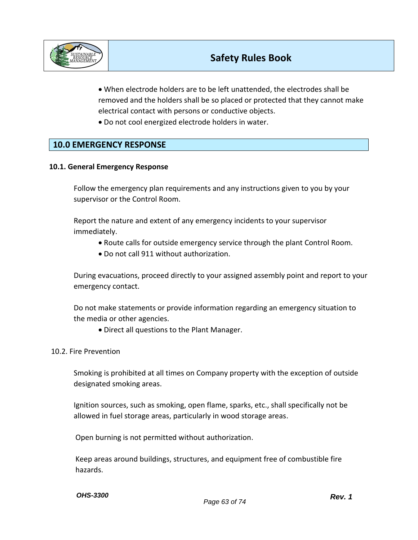

• When electrode holders are to be left unattended, the electrodes shall be removed and the holders shall be so placed or protected that they cannot make electrical contact with persons or conductive objects.

• Do not cool energized electrode holders in water.

## **10.0 EMERGENCY RESPONSE**

### **10.1. General Emergency Response**

Follow the emergency plan requirements and any instructions given to you by your supervisor or the Control Room.

Report the nature and extent of any emergency incidents to your supervisor immediately.

- Route calls for outside emergency service through the plant Control Room.
- Do not call 911 without authorization.

During evacuations, proceed directly to your assigned assembly point and report to your emergency contact.

Do not make statements or provide information regarding an emergency situation to the media or other agencies.

• Direct all questions to the Plant Manager.

### 10.2. Fire Prevention

Smoking is prohibited at all times on Company property with the exception of outside designated smoking areas.

Ignition sources, such as smoking, open flame, sparks, etc., shall specifically not be allowed in fuel storage areas, particularly in wood storage areas.

Open burning is not permitted without authorization.

Keep areas around buildings, structures, and equipment free of combustible fire hazards.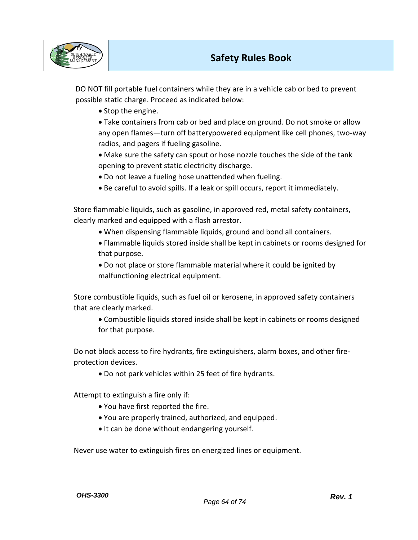

DO NOT fill portable fuel containers while they are in a vehicle cab or bed to prevent possible static charge. Proceed as indicated below:

- Stop the engine.
- Take containers from cab or bed and place on ground. Do not smoke or allow any open flames—turn off batterypowered equipment like cell phones, two-way radios, and pagers if fueling gasoline.
- Make sure the safety can spout or hose nozzle touches the side of the tank opening to prevent static electricity discharge.
- Do not leave a fueling hose unattended when fueling.
- Be careful to avoid spills. If a leak or spill occurs, report it immediately.

Store flammable liquids, such as gasoline, in approved red, metal safety containers, clearly marked and equipped with a flash arrestor.

- When dispensing flammable liquids, ground and bond all containers.
- Flammable liquids stored inside shall be kept in cabinets or rooms designed for that purpose.
- Do not place or store flammable material where it could be ignited by malfunctioning electrical equipment.

Store combustible liquids, such as fuel oil or kerosene, in approved safety containers that are clearly marked.

• Combustible liquids stored inside shall be kept in cabinets or rooms designed for that purpose.

Do not block access to fire hydrants, fire extinguishers, alarm boxes, and other fireprotection devices.

• Do not park vehicles within 25 feet of fire hydrants.

Attempt to extinguish a fire only if:

- You have first reported the fire.
- You are properly trained, authorized, and equipped.
- It can be done without endangering yourself.

Never use water to extinguish fires on energized lines or equipment.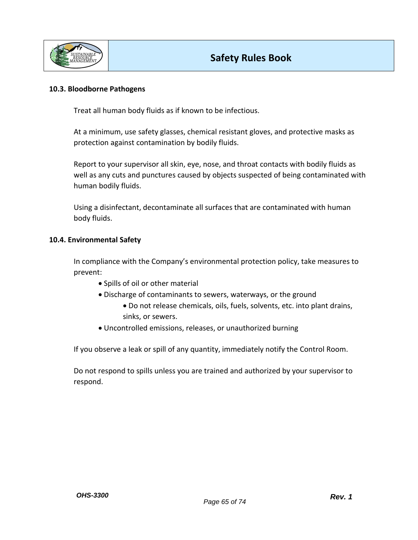

### **10.3. Bloodborne Pathogens**

Treat all human body fluids as if known to be infectious.

At a minimum, use safety glasses, chemical resistant gloves, and protective masks as protection against contamination by bodily fluids.

Report to your supervisor all skin, eye, nose, and throat contacts with bodily fluids as well as any cuts and punctures caused by objects suspected of being contaminated with human bodily fluids.

Using a disinfectant, decontaminate all surfaces that are contaminated with human body fluids.

### **10.4. Environmental Safety**

In compliance with the Company's environmental protection policy, take measures to prevent:

- Spills of oil or other material
- Discharge of contaminants to sewers, waterways, or the ground
	- Do not release chemicals, oils, fuels, solvents, etc. into plant drains, sinks, or sewers.
- Uncontrolled emissions, releases, or unauthorized burning

If you observe a leak or spill of any quantity, immediately notify the Control Room.

Do not respond to spills unless you are trained and authorized by your supervisor to respond.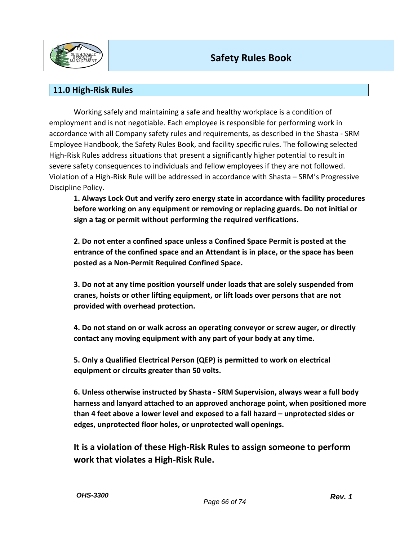

## **11.0 High-Risk Rules**

Working safely and maintaining a safe and healthy workplace is a condition of employment and is not negotiable. Each employee is responsible for performing work in accordance with all Company safety rules and requirements, as described in the Shasta - SRM Employee Handbook, the Safety Rules Book, and facility specific rules. The following selected High-Risk Rules address situations that present a significantly higher potential to result in severe safety consequences to individuals and fellow employees if they are not followed. Violation of a High-Risk Rule will be addressed in accordance with Shasta – SRM's Progressive Discipline Policy.

**1. Always Lock Out and verify zero energy state in accordance with facility procedures before working on any equipment or removing or replacing guards. Do not initial or sign a tag or permit without performing the required verifications.** 

**2. Do not enter a confined space unless a Confined Space Permit is posted at the entrance of the confined space and an Attendant is in place, or the space has been posted as a Non-Permit Required Confined Space.** 

**3. Do not at any time position yourself under loads that are solely suspended from cranes, hoists or other lifting equipment, or lift loads over persons that are not provided with overhead protection.** 

**4. Do not stand on or walk across an operating conveyor or screw auger, or directly contact any moving equipment with any part of your body at any time.** 

**5. Only a Qualified Electrical Person (QEP) is permitted to work on electrical equipment or circuits greater than 50 volts.** 

**6. Unless otherwise instructed by Shasta - SRM Supervision, always wear a full body harness and lanyard attached to an approved anchorage point, when positioned more than 4 feet above a lower level and exposed to a fall hazard – unprotected sides or edges, unprotected floor holes, or unprotected wall openings.** 

**It is a violation of these High-Risk Rules to assign someone to perform work that violates a High-Risk Rule.**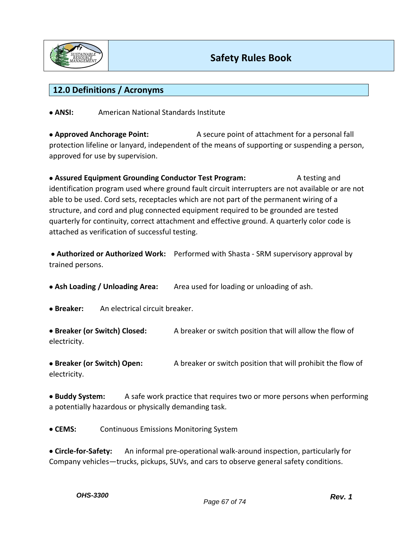

## **12.0 Definitions / Acronyms**

• **ANSI:** American National Standards Institute

• **Approved Anchorage Point:** A secure point of attachment for a personal fall protection lifeline or lanyard, independent of the means of supporting or suspending a person, approved for use by supervision.

• **Assured Equipment Grounding Conductor Test Program:** A testing and identification program used where ground fault circuit interrupters are not available or are not able to be used. Cord sets, receptacles which are not part of the permanent wiring of a structure, and cord and plug connected equipment required to be grounded are tested quarterly for continuity, correct attachment and effective ground. A quarterly color code is attached as verification of successful testing.

• **Authorized or Authorized Work:** Performed with Shasta - SRM supervisory approval by trained persons.

• **Ash Loading / Unloading Area:** Area used for loading or unloading of ash.

• **Breaker:** An electrical circuit breaker.

• **Breaker (or Switch) Closed:** A breaker or switch position that will allow the flow of electricity.

• **Breaker (or Switch) Open:** A breaker or switch position that will prohibit the flow of electricity.

• **Buddy System:** A safe work practice that requires two or more persons when performing a potentially hazardous or physically demanding task.

• **CEMS:** Continuous Emissions Monitoring System

• **Circle-for-Safety:** An informal pre-operational walk-around inspection, particularly for Company vehicles—trucks, pickups, SUVs, and cars to observe general safety conditions.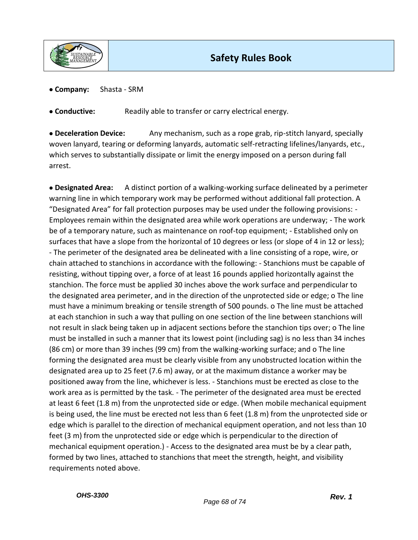

• **Company:** Shasta - SRM

• **Conductive:** Readily able to transfer or carry electrical energy.

• **Deceleration Device:** Any mechanism, such as a rope grab, rip-stitch lanyard, specially woven lanyard, tearing or deforming lanyards, automatic self-retracting lifelines/lanyards, etc., which serves to substantially dissipate or limit the energy imposed on a person during fall arrest.

• **Designated Area:** A distinct portion of a walking-working surface delineated by a perimeter warning line in which temporary work may be performed without additional fall protection. A "Designated Area" for fall protection purposes may be used under the following provisions: - Employees remain within the designated area while work operations are underway; - The work be of a temporary nature, such as maintenance on roof-top equipment; - Established only on surfaces that have a slope from the horizontal of 10 degrees or less (or slope of 4 in 12 or less); - The perimeter of the designated area be delineated with a line consisting of a rope, wire, or chain attached to stanchions in accordance with the following: - Stanchions must be capable of resisting, without tipping over, a force of at least 16 pounds applied horizontally against the stanchion. The force must be applied 30 inches above the work surface and perpendicular to the designated area perimeter, and in the direction of the unprotected side or edge; o The line must have a minimum breaking or tensile strength of 500 pounds. o The line must be attached at each stanchion in such a way that pulling on one section of the line between stanchions will not result in slack being taken up in adjacent sections before the stanchion tips over; o The line must be installed in such a manner that its lowest point (including sag) is no less than 34 inches (86 cm) or more than 39 inches (99 cm) from the walking-working surface; and o The line forming the designated area must be clearly visible from any unobstructed location within the designated area up to 25 feet (7.6 m) away, or at the maximum distance a worker may be positioned away from the line, whichever is less. - Stanchions must be erected as close to the work area as is permitted by the task. - The perimeter of the designated area must be erected at least 6 feet (1.8 m) from the unprotected side or edge. (When mobile mechanical equipment is being used, the line must be erected not less than 6 feet (1.8 m) from the unprotected side or edge which is parallel to the direction of mechanical equipment operation, and not less than 10 feet (3 m) from the unprotected side or edge which is perpendicular to the direction of mechanical equipment operation.) - Access to the designated area must be by a clear path, formed by two lines, attached to stanchions that meet the strength, height, and visibility requirements noted above.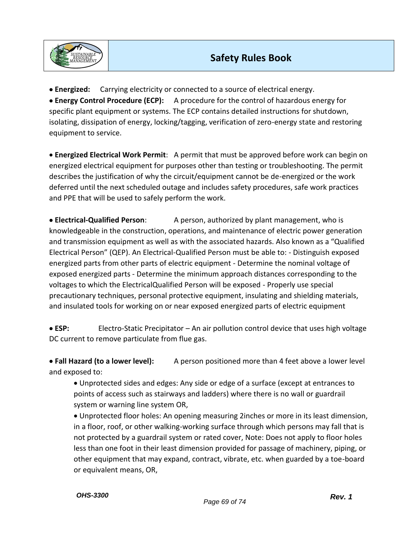

• **Energized:** Carrying electricity or connected to a source of electrical energy. • **Energy Control Procedure (ECP):** A procedure for the control of hazardous energy for specific plant equipment or systems. The ECP contains detailed instructions for shutdown, isolating, dissipation of energy, locking/tagging, verification of zero-energy state and restoring equipment to service.

• **Energized Electrical Work Permit**: A permit that must be approved before work can begin on energized electrical equipment for purposes other than testing or troubleshooting. The permit describes the justification of why the circuit/equipment cannot be de-energized or the work deferred until the next scheduled outage and includes safety procedures, safe work practices and PPE that will be used to safely perform the work.

• **Electrical-Qualified Person**: A person, authorized by plant management, who is knowledgeable in the construction, operations, and maintenance of electric power generation and transmission equipment as well as with the associated hazards. Also known as a "Qualified Electrical Person" (QEP). An Electrical-Qualified Person must be able to: - Distinguish exposed energized parts from other parts of electric equipment - Determine the nominal voltage of exposed energized parts - Determine the minimum approach distances corresponding to the voltages to which the ElectricalQualified Person will be exposed - Properly use special precautionary techniques, personal protective equipment, insulating and shielding materials, and insulated tools for working on or near exposed energized parts of electric equipment

• **ESP:** Electro-Static Precipitator – An air pollution control device that uses high voltage DC current to remove particulate from flue gas.

• **Fall Hazard (to a lower level):** A person positioned more than 4 feet above a lower level and exposed to:

• Unprotected sides and edges: Any side or edge of a surface (except at entrances to points of access such as stairways and ladders) where there is no wall or guardrail system or warning line system OR,

• Unprotected floor holes: An opening measuring 2inches or more in its least dimension, in a floor, roof, or other walking-working surface through which persons may fall that is not protected by a guardrail system or rated cover, Note: Does not apply to floor holes less than one foot in their least dimension provided for passage of machinery, piping, or other equipment that may expand, contract, vibrate, etc. when guarded by a toe-board or equivalent means, OR,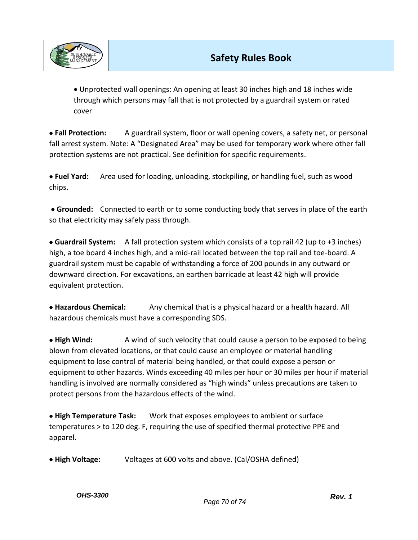

• Unprotected wall openings: An opening at least 30 inches high and 18 inches wide through which persons may fall that is not protected by a guardrail system or rated cover

• **Fall Protection:** A guardrail system, floor or wall opening covers, a safety net, or personal fall arrest system. Note: A "Designated Area" may be used for temporary work where other fall protection systems are not practical. See definition for specific requirements.

• **Fuel Yard:** Area used for loading, unloading, stockpiling, or handling fuel, such as wood chips.

• **Grounded:** Connected to earth or to some conducting body that serves in place of the earth so that electricity may safely pass through.

• **Guardrail System:** A fall protection system which consists of a top rail 42 (up to +3 inches) high, a toe board 4 inches high, and a mid-rail located between the top rail and toe-board. A guardrail system must be capable of withstanding a force of 200 pounds in any outward or downward direction. For excavations, an earthen barricade at least 42 high will provide equivalent protection.

• **Hazardous Chemical:** Any chemical that is a physical hazard or a health hazard. All hazardous chemicals must have a corresponding SDS.

• **High Wind:** A wind of such velocity that could cause a person to be exposed to being blown from elevated locations, or that could cause an employee or material handling equipment to lose control of material being handled, or that could expose a person or equipment to other hazards. Winds exceeding 40 miles per hour or 30 miles per hour if material handling is involved are normally considered as "high winds" unless precautions are taken to protect persons from the hazardous effects of the wind.

• **High Temperature Task:** Work that exposes employees to ambient or surface temperatures > to 120 deg. F, requiring the use of specified thermal protective PPE and apparel.

• **High Voltage:** Voltages at 600 volts and above. (Cal/OSHA defined)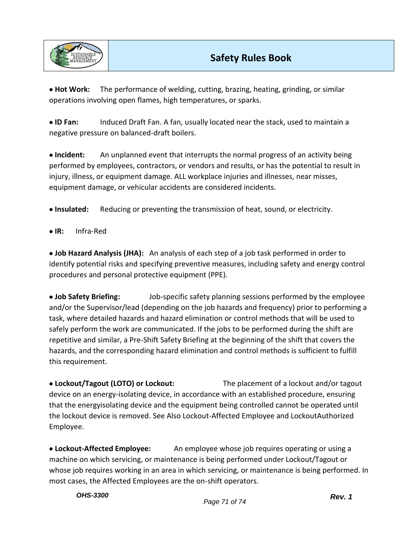

• **Hot Work:** The performance of welding, cutting, brazing, heating, grinding, or similar operations involving open flames, high temperatures, or sparks.

• **ID Fan:** Induced Draft Fan. A fan, usually located near the stack, used to maintain a negative pressure on balanced-draft boilers.

• **Incident:** An unplanned event that interrupts the normal progress of an activity being performed by employees, contractors, or vendors and results, or has the potential to result in injury, illness, or equipment damage. ALL workplace injuries and illnesses, near misses, equipment damage, or vehicular accidents are considered incidents.

• **Insulated:** Reducing or preventing the transmission of heat, sound, or electricity.

• **IR:** Infra-Red

• **Job Hazard Analysis (JHA):** An analysis of each step of a job task performed in order to identify potential risks and specifying preventive measures, including safety and energy control procedures and personal protective equipment (PPE).

• **Job Safety Briefing:** Job-specific safety planning sessions performed by the employee and/or the Supervisor/lead (depending on the job hazards and frequency) prior to performing a task, where detailed hazards and hazard elimination or control methods that will be used to safely perform the work are communicated. If the jobs to be performed during the shift are repetitive and similar, a Pre-Shift Safety Briefing at the beginning of the shift that covers the hazards, and the corresponding hazard elimination and control methods is sufficient to fulfill this requirement.

• **Lockout/Tagout (LOTO) or Lockout:** The placement of a lockout and/or tagout device on an energy-isolating device, in accordance with an established procedure, ensuring that the energyisolating device and the equipment being controlled cannot be operated until the lockout device is removed. See Also Lockout-Affected Employee and LockoutAuthorized Employee.

• **Lockout-Affected Employee:** An employee whose job requires operating or using a machine on which servicing, or maintenance is being performed under Lockout/Tagout or whose job requires working in an area in which servicing, or maintenance is being performed. In most cases, the Affected Employees are the on-shift operators.

*OHS-3300*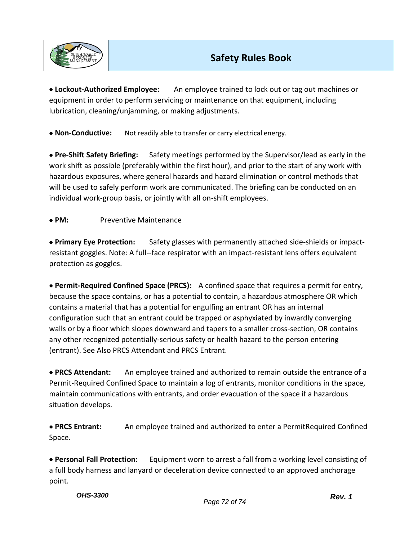

• **Lockout-Authorized Employee:** An employee trained to lock out or tag out machines or equipment in order to perform servicing or maintenance on that equipment, including lubrication, cleaning/unjamming, or making adjustments.

• **Non-Conductive:** Not readily able to transfer or carry electrical energy.

• **Pre-Shift Safety Briefing:** Safety meetings performed by the Supervisor/lead as early in the work shift as possible (preferably within the first hour), and prior to the start of any work with hazardous exposures, where general hazards and hazard elimination or control methods that will be used to safely perform work are communicated. The briefing can be conducted on an individual work-group basis, or jointly with all on-shift employees.

## • **PM:** Preventive Maintenance

• **Primary Eye Protection:** Safety glasses with permanently attached side-shields or impactresistant goggles. Note: A full--face respirator with an impact-resistant lens offers equivalent protection as goggles.

• **Permit-Required Confined Space (PRCS):** A confined space that requires a permit for entry, because the space contains, or has a potential to contain, a hazardous atmosphere OR which contains a material that has a potential for engulfing an entrant OR has an internal configuration such that an entrant could be trapped or asphyxiated by inwardly converging walls or by a floor which slopes downward and tapers to a smaller cross-section, OR contains any other recognized potentially-serious safety or health hazard to the person entering (entrant). See Also PRCS Attendant and PRCS Entrant.

• **PRCS Attendant:** An employee trained and authorized to remain outside the entrance of a Permit-Required Confined Space to maintain a log of entrants, monitor conditions in the space, maintain communications with entrants, and order evacuation of the space if a hazardous situation develops.

• **PRCS Entrant:** An employee trained and authorized to enter a PermitRequired Confined Space.

• **Personal Fall Protection:** Equipment worn to arrest a fall from a working level consisting of a full body harness and lanyard or deceleration device connected to an approved anchorage point.

*OHS-3300*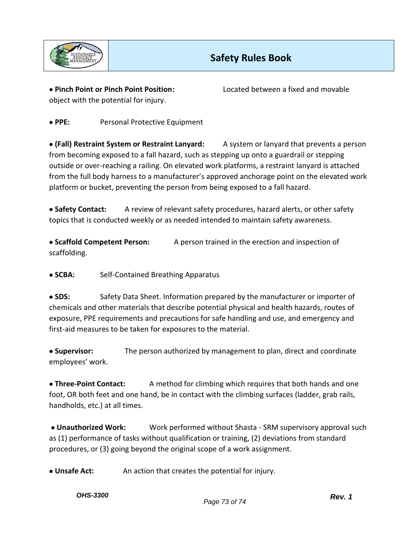

object with the potential for injury.

• **Pinch Point or Pinch Point Position:** Located between a fixed and movable

• **PPE:** Personal Protective Equipment

• **(Fall) Restraint System or Restraint Lanyard:** A system or lanyard that prevents a person from becoming exposed to a fall hazard, such as stepping up onto a guardrail or stepping outside or over-reaching a railing. On elevated work platforms, a restraint lanyard is attached from the full body harness to a manufacturer's approved anchorage point on the elevated work platform or bucket, preventing the person from being exposed to a fall hazard.

• **Safety Contact:** A review of relevant safety procedures, hazard alerts, or other safety topics that is conducted weekly or as needed intended to maintain safety awareness.

• **Scaffold Competent Person:** A person trained in the erection and inspection of scaffolding.

• **SCBA:** Self-Contained Breathing Apparatus

• **SDS:** Safety Data Sheet. Information prepared by the manufacturer or importer of chemicals and other materials that describe potential physical and health hazards, routes of exposure, PPE requirements and precautions for safe handling and use, and emergency and first-aid measures to be taken for exposures to the material.

• **Supervisor:** The person authorized by management to plan, direct and coordinate employees' work.

• **Three-Point Contact:** A method for climbing which requires that both hands and one foot, OR both feet and one hand, be in contact with the climbing surfaces (ladder, grab rails, handholds, etc.) at all times.

• **Unauthorized Work:** Work performed without Shasta - SRM supervisory approval such as (1) performance of tasks without qualification or training, (2) deviations from standard procedures, or (3) going beyond the original scope of a work assignment.

• **Unsafe Act:** An action that creates the potential for injury.

*OHS-3300*